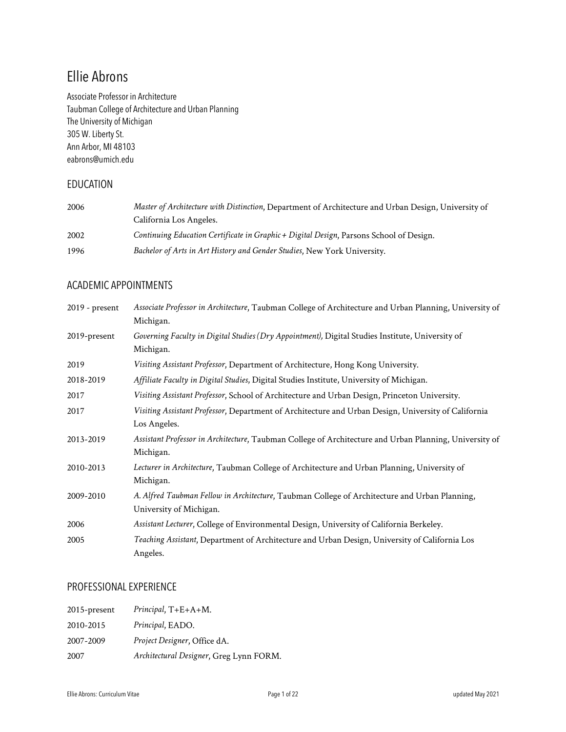# Ellie Abrons

Associate Professor in Architecture Taubman College of Architecture and Urban Planning The University of Michigan 305 W. Liberty St. Ann Arbor, MI 48103 eabrons@umich.edu

## EDUCATION

| 2006 | Master of Architecture with Distinction, Department of Architecture and Urban Design, University of |
|------|-----------------------------------------------------------------------------------------------------|
|      | California Los Angeles.                                                                             |
| 2002 | Continuing Education Certificate in Graphic + Digital Design, Parsons School of Design.             |
| 1996 | Bachelor of Arts in Art History and Gender Studies, New York University.                            |

### ACADEMIC APPOINTMENTS

| $2019$ - present | Associate Professor in Architecture, Taubman College of Architecture and Urban Planning, University of |
|------------------|--------------------------------------------------------------------------------------------------------|
|                  | Michigan.                                                                                              |
| 2019-present     | Governing Faculty in Digital Studies (Dry Appointment), Digital Studies Institute, University of       |
|                  | Michigan.                                                                                              |
| 2019             | Visiting Assistant Professor, Department of Architecture, Hong Kong University.                        |
| 2018-2019        | Affiliate Faculty in Digital Studies, Digital Studies Institute, University of Michigan.               |
| 2017             | Visiting Assistant Professor, School of Architecture and Urban Design, Princeton University.           |
| 2017             | Visiting Assistant Professor, Department of Architecture and Urban Design, University of California    |
|                  | Los Angeles.                                                                                           |
| 2013-2019        | Assistant Professor in Architecture, Taubman College of Architecture and Urban Planning, University of |
|                  | Michigan.                                                                                              |
| 2010-2013        | Lecturer in Architecture, Taubman College of Architecture and Urban Planning, University of            |
|                  | Michigan.                                                                                              |
| 2009-2010        | A. Alfred Taubman Fellow in Architecture, Taubman College of Architecture and Urban Planning,          |
|                  | University of Michigan.                                                                                |
| 2006             | Assistant Lecturer, College of Environmental Design, University of California Berkeley.                |
| 2005             | Teaching Assistant, Department of Architecture and Urban Design, University of California Los          |
|                  | Angeles.                                                                                               |

### PROFESSIONAL EXPERIENCE

| $2015$ -present | $Principal, T+E+A+M.$                   |
|-----------------|-----------------------------------------|
| 2010-2015       | Principal, EADO.                        |
| 2007-2009       | Project Designer, Office dA.            |
| 2007            | Architectural Designer, Greg Lynn FORM. |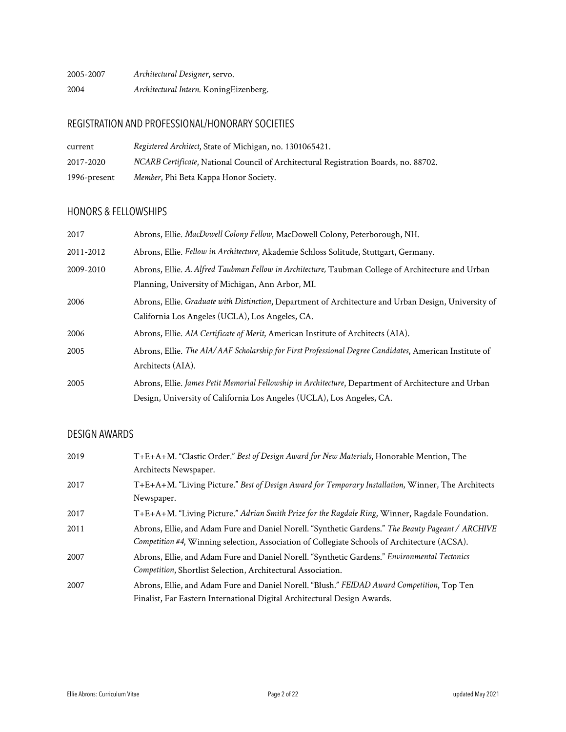| 2005-2007 | Architectural Designer, servo.         |
|-----------|----------------------------------------|
| 2004      | Architectural Intern. KoningEizenberg. |

# REGISTRATION AND PROFESSIONAL/HONORARY SOCIETIES

| current      | Registered Architect, State of Michigan, no. 1301065421.                             |
|--------------|--------------------------------------------------------------------------------------|
| 2017-2020    | NCARB Certificate, National Council of Architectural Registration Boards, no. 88702. |
| 1996-present | Member, Phi Beta Kappa Honor Society.                                                |

# HONORS & FELLOWSHIPS

| 2017      | Abrons, Ellie. MacDowell Colony Fellow, MacDowell Colony, Peterborough, NH.                                                                                                   |
|-----------|-------------------------------------------------------------------------------------------------------------------------------------------------------------------------------|
| 2011-2012 | Abrons, Ellie. Fellow in Architecture, Akademie Schloss Solitude, Stuttgart, Germany.                                                                                         |
| 2009-2010 | Abrons, Ellie. A. Alfred Taubman Fellow in Architecture, Taubman College of Architecture and Urban<br>Planning, University of Michigan, Ann Arbor, MI.                        |
| 2006      | Abrons, Ellie. Graduate with Distinction, Department of Architecture and Urban Design, University of<br>California Los Angeles (UCLA), Los Angeles, CA.                       |
| 2006      | Abrons, Ellie. AIA Certificate of Merit, American Institute of Architects (AIA).                                                                                              |
| 2005      | Abrons, Ellie. The AIA/AAF Scholarship for First Professional Degree Candidates, American Institute of<br>Architects (AIA).                                                   |
| 2005      | Abrons, Ellie. James Petit Memorial Fellowship in Architecture, Department of Architecture and Urban<br>Design, University of California Los Angeles (UCLA), Los Angeles, CA. |

# DESIGN AWARDS

| 2019 | T+E+A+M. "Clastic Order." Best of Design Award for New Materials, Honorable Mention, The<br>Architects Newspaper.                                                                                 |
|------|---------------------------------------------------------------------------------------------------------------------------------------------------------------------------------------------------|
| 2017 | T+E+A+M. "Living Picture." Best of Design Award for Temporary Installation, Winner, The Architects<br>Newspaper.                                                                                  |
| 2017 | T+E+A+M. "Living Picture." Adrian Smith Prize for the Ragdale Ring, Winner, Ragdale Foundation.                                                                                                   |
| 2011 | Abrons, Ellie, and Adam Fure and Daniel Norell. "Synthetic Gardens." The Beauty Pageant / ARCHIVE<br>Competition #4, Winning selection, Association of Collegiate Schools of Architecture (ACSA). |
| 2007 | Abrons, Ellie, and Adam Fure and Daniel Norell. "Synthetic Gardens." Environmental Tectonics<br>Competition, Shortlist Selection, Architectural Association.                                      |
| 2007 | Abrons, Ellie, and Adam Fure and Daniel Norell. "Blush." FEIDAD Award Competition, Top Ten<br>Finalist, Far Eastern International Digital Architectural Design Awards.                            |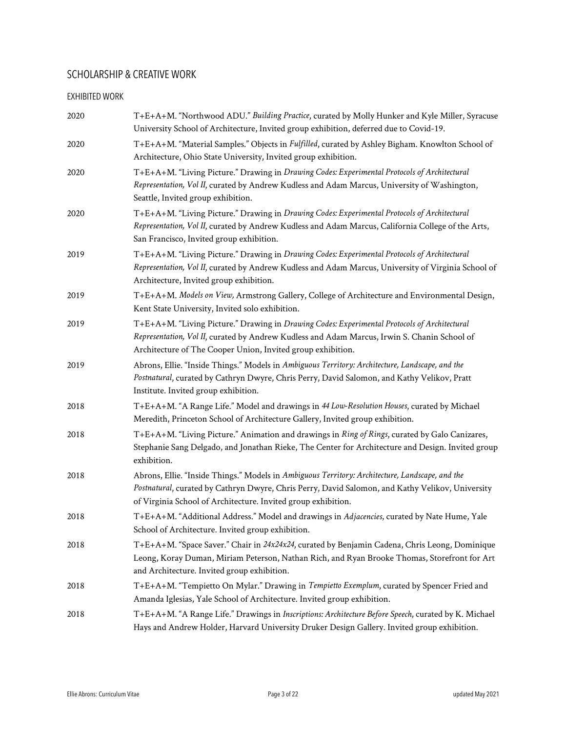# SCHOLARSHIP & CREATIVE WORK

#### EXHIBITED WORK

| 2020 | T+E+A+M. "Northwood ADU." Building Practice, curated by Molly Hunker and Kyle Miller, Syracuse<br>University School of Architecture, Invited group exhibition, deferred due to Covid-19.                                                                             |
|------|----------------------------------------------------------------------------------------------------------------------------------------------------------------------------------------------------------------------------------------------------------------------|
| 2020 | T+E+A+M. "Material Samples." Objects in Fulfilled, curated by Ashley Bigham. Knowlton School of<br>Architecture, Ohio State University, Invited group exhibition.                                                                                                    |
| 2020 | T+E+A+M. "Living Picture." Drawing in Drawing Codes: Experimental Protocols of Architectural<br>Representation, Vol II, curated by Andrew Kudless and Adam Marcus, University of Washington,<br>Seattle, Invited group exhibition.                                   |
| 2020 | T+E+A+M. "Living Picture." Drawing in Drawing Codes: Experimental Protocols of Architectural<br>Representation, Vol II, curated by Andrew Kudless and Adam Marcus, California College of the Arts,<br>San Francisco, Invited group exhibition.                       |
| 2019 | T+E+A+M. "Living Picture." Drawing in Drawing Codes: Experimental Protocols of Architectural<br>Representation, Vol II, curated by Andrew Kudless and Adam Marcus, University of Virginia School of<br>Architecture, Invited group exhibition.                       |
| 2019 | T+E+A+M. Models on View, Armstrong Gallery, College of Architecture and Environmental Design,<br>Kent State University, Invited solo exhibition.                                                                                                                     |
| 2019 | T+E+A+M. "Living Picture." Drawing in Drawing Codes: Experimental Protocols of Architectural<br>Representation, Vol II, curated by Andrew Kudless and Adam Marcus, Irwin S. Chanin School of<br>Architecture of The Cooper Union, Invited group exhibition.          |
| 2019 | Abrons, Ellie. "Inside Things." Models in Ambiguous Territory: Architecture, Landscape, and the<br>Postnatural, curated by Cathryn Dwyre, Chris Perry, David Salomon, and Kathy Velikov, Pratt<br>Institute. Invited group exhibition.                               |
| 2018 | T+E+A+M. "A Range Life." Model and drawings in 44 Low-Resolution Houses, curated by Michael<br>Meredith, Princeton School of Architecture Gallery, Invited group exhibition.                                                                                         |
| 2018 | T+E+A+M. "Living Picture." Animation and drawings in Ring of Rings, curated by Galo Canizares,<br>Stephanie Sang Delgado, and Jonathan Rieke, The Center for Architecture and Design. Invited group<br>exhibition.                                                   |
| 2018 | Abrons, Ellie. "Inside Things." Models in Ambiguous Territory: Architecture, Landscape, and the<br>Postnatural, curated by Cathryn Dwyre, Chris Perry, David Salomon, and Kathy Velikov, University<br>of Virginia School of Architecture. Invited group exhibition. |
| 2018 | T+E+A+M. "Additional Address." Model and drawings in Adjacencies, curated by Nate Hume, Yale<br>School of Architecture. Invited group exhibition.                                                                                                                    |
| 2018 | T+E+A+M. "Space Saver." Chair in 24x24x24, curated by Benjamin Cadena, Chris Leong, Dominique<br>Leong, Koray Duman, Miriam Peterson, Nathan Rich, and Ryan Brooke Thomas, Storefront for Art<br>and Architecture. Invited group exhibition.                         |
| 2018 | T+E+A+M. "Tempietto On Mylar." Drawing in Tempietto Exemplum, curated by Spencer Fried and<br>Amanda Iglesias, Yale School of Architecture. Invited group exhibition.                                                                                                |
| 2018 | T+E+A+M. "A Range Life." Drawings in Inscriptions: Architecture Before Speech, curated by K. Michael<br>Hays and Andrew Holder, Harvard University Druker Design Gallery. Invited group exhibition.                                                                  |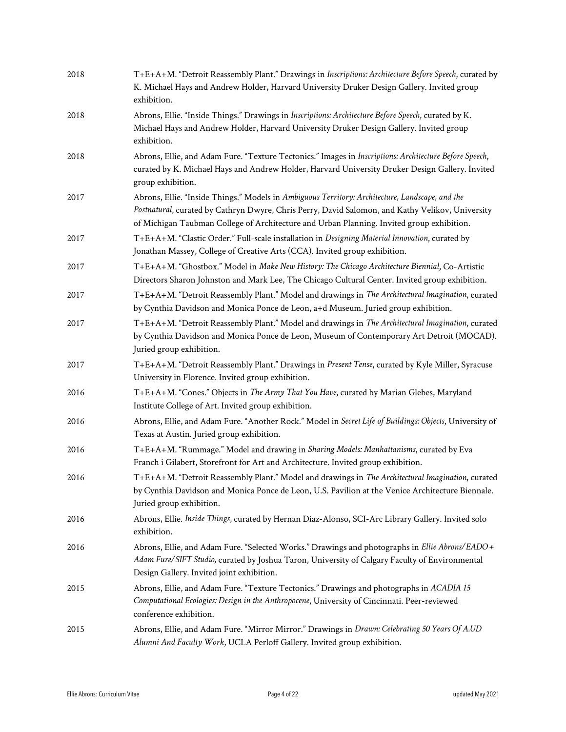| 2018 | T+E+A+M. "Detroit Reassembly Plant." Drawings in Inscriptions: Architecture Before Speech, curated by<br>K. Michael Hays and Andrew Holder, Harvard University Druker Design Gallery. Invited group<br>exhibition.                                                                               |
|------|--------------------------------------------------------------------------------------------------------------------------------------------------------------------------------------------------------------------------------------------------------------------------------------------------|
| 2018 | Abrons, Ellie. "Inside Things." Drawings in Inscriptions: Architecture Before Speech, curated by K.<br>Michael Hays and Andrew Holder, Harvard University Druker Design Gallery. Invited group<br>exhibition.                                                                                    |
| 2018 | Abrons, Ellie, and Adam Fure. "Texture Tectonics." Images in Inscriptions: Architecture Before Speech,<br>curated by K. Michael Hays and Andrew Holder, Harvard University Druker Design Gallery. Invited<br>group exhibition.                                                                   |
| 2017 | Abrons, Ellie. "Inside Things." Models in Ambiguous Territory: Architecture, Landscape, and the<br>Postnatural, curated by Cathryn Dwyre, Chris Perry, David Salomon, and Kathy Velikov, University<br>of Michigan Taubman College of Architecture and Urban Planning. Invited group exhibition. |
| 2017 | T+E+A+M. "Clastic Order." Full-scale installation in Designing Material Innovation, curated by<br>Jonathan Massey, College of Creative Arts (CCA). Invited group exhibition.                                                                                                                     |
| 2017 | T+E+A+M. "Ghostbox." Model in Make New History: The Chicago Architecture Biennial, Co-Artistic<br>Directors Sharon Johnston and Mark Lee, The Chicago Cultural Center. Invited group exhibition.                                                                                                 |
| 2017 | T+E+A+M. "Detroit Reassembly Plant." Model and drawings in The Architectural Imagination, curated<br>by Cynthia Davidson and Monica Ponce de Leon, a+d Museum. Juried group exhibition.                                                                                                          |
| 2017 | T+E+A+M. "Detroit Reassembly Plant." Model and drawings in The Architectural Imagination, curated<br>by Cynthia Davidson and Monica Ponce de Leon, Museum of Contemporary Art Detroit (MOCAD).<br>Juried group exhibition.                                                                       |
| 2017 | T+E+A+M. "Detroit Reassembly Plant." Drawings in Present Tense, curated by Kyle Miller, Syracuse<br>University in Florence. Invited group exhibition.                                                                                                                                            |
| 2016 | T+E+A+M. "Cones." Objects in The Army That You Have, curated by Marian Glebes, Maryland<br>Institute College of Art. Invited group exhibition.                                                                                                                                                   |
| 2016 | Abrons, Ellie, and Adam Fure. "Another Rock." Model in Secret Life of Buildings: Objects, University of<br>Texas at Austin. Juried group exhibition.                                                                                                                                             |
| 2016 | T+E+A+M. "Rummage." Model and drawing in Sharing Models: Manhattanisms, curated by Eva<br>Franch i Gilabert, Storefront for Art and Architecture. Invited group exhibition.                                                                                                                      |
| 2016 | T+E+A+M. "Detroit Reassembly Plant." Model and drawings in The Architectural Imagination, curated<br>by Cynthia Davidson and Monica Ponce de Leon, U.S. Pavilion at the Venice Architecture Biennale.<br>Juried group exhibition.                                                                |
| 2016 | Abrons, Ellie. Inside Things, curated by Hernan Diaz-Alonso, SCI-Arc Library Gallery. Invited solo<br>exhibition.                                                                                                                                                                                |
| 2016 | Abrons, Ellie, and Adam Fure. "Selected Works." Drawings and photographs in Ellie Abrons/EADO +<br>Adam Fure/SIFT Studio, curated by Joshua Taron, University of Calgary Faculty of Environmental<br>Design Gallery. Invited joint exhibition.                                                   |
| 2015 | Abrons, Ellie, and Adam Fure. "Texture Tectonics." Drawings and photographs in ACADIA 15<br>Computational Ecologies: Design in the Anthropocene, University of Cincinnati. Peer-reviewed<br>conference exhibition.                                                                               |
| 2015 | Abrons, Ellie, and Adam Fure. "Mirror Mirror." Drawings in Drawn: Celebrating 50 Years Of A.UD<br>Alumni And Faculty Work, UCLA Perloff Gallery. Invited group exhibition.                                                                                                                       |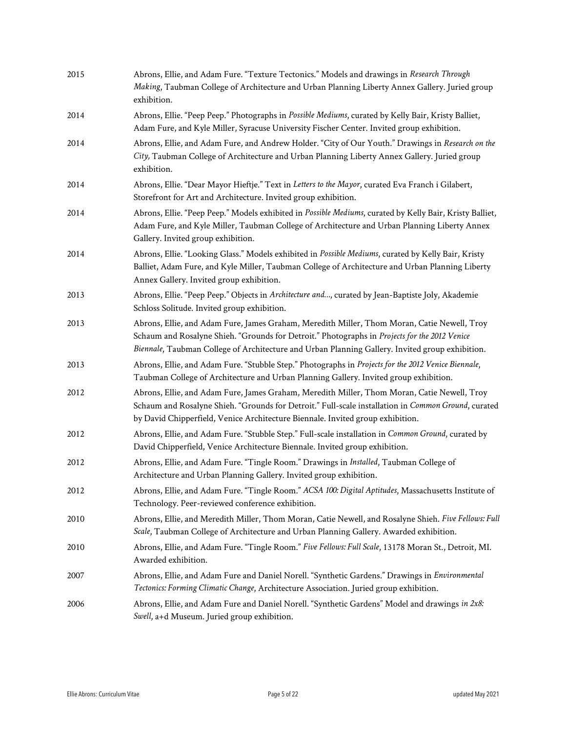| 2015 | Abrons, Ellie, and Adam Fure. "Texture Tectonics." Models and drawings in Research Through<br>Making, Taubman College of Architecture and Urban Planning Liberty Annex Gallery. Juried group<br>exhibition.                                                                                     |
|------|-------------------------------------------------------------------------------------------------------------------------------------------------------------------------------------------------------------------------------------------------------------------------------------------------|
| 2014 | Abrons, Ellie. "Peep Peep." Photographs in Possible Mediums, curated by Kelly Bair, Kristy Balliet,<br>Adam Fure, and Kyle Miller, Syracuse University Fischer Center. Invited group exhibition.                                                                                                |
| 2014 | Abrons, Ellie, and Adam Fure, and Andrew Holder. "City of Our Youth." Drawings in Research on the<br>City, Taubman College of Architecture and Urban Planning Liberty Annex Gallery. Juried group<br>exhibition.                                                                                |
| 2014 | Abrons, Ellie. "Dear Mayor Hieftje." Text in Letters to the Mayor, curated Eva Franch i Gilabert,<br>Storefront for Art and Architecture. Invited group exhibition.                                                                                                                             |
| 2014 | Abrons, Ellie. "Peep Peep." Models exhibited in Possible Mediums, curated by Kelly Bair, Kristy Balliet,<br>Adam Fure, and Kyle Miller, Taubman College of Architecture and Urban Planning Liberty Annex<br>Gallery. Invited group exhibition.                                                  |
| 2014 | Abrons, Ellie. "Looking Glass." Models exhibited in Possible Mediums, curated by Kelly Bair, Kristy<br>Balliet, Adam Fure, and Kyle Miller, Taubman College of Architecture and Urban Planning Liberty<br>Annex Gallery. Invited group exhibition.                                              |
| 2013 | Abrons, Ellie. "Peep Peep." Objects in Architecture and, curated by Jean-Baptiste Joly, Akademie<br>Schloss Solitude. Invited group exhibition.                                                                                                                                                 |
| 2013 | Abrons, Ellie, and Adam Fure, James Graham, Meredith Miller, Thom Moran, Catie Newell, Troy<br>Schaum and Rosalyne Shieh. "Grounds for Detroit." Photographs in Projects for the 2012 Venice<br>Biennale, Taubman College of Architecture and Urban Planning Gallery. Invited group exhibition. |
| 2013 | Abrons, Ellie, and Adam Fure. "Stubble Step." Photographs in Projects for the 2012 Venice Biennale,<br>Taubman College of Architecture and Urban Planning Gallery. Invited group exhibition.                                                                                                    |
| 2012 | Abrons, Ellie, and Adam Fure, James Graham, Meredith Miller, Thom Moran, Catie Newell, Troy<br>Schaum and Rosalyne Shieh. "Grounds for Detroit." Full-scale installation in Common Ground, curated<br>by David Chipperfield, Venice Architecture Biennale. Invited group exhibition.            |
| 2012 | Abrons, Ellie, and Adam Fure. "Stubble Step." Full-scale installation in Common Ground, curated by<br>David Chipperfield, Venice Architecture Biennale. Invited group exhibition.                                                                                                               |
| 2012 | Abrons, Ellie, and Adam Fure. "Tingle Room." Drawings in Installed, Taubman College of<br>Architecture and Urban Planning Gallery. Invited group exhibition.                                                                                                                                    |
| 2012 | Abrons, Ellie, and Adam Fure. "Tingle Room." ACSA 100: Digital Aptitudes, Massachusetts Institute of<br>Technology. Peer-reviewed conference exhibition.                                                                                                                                        |
| 2010 | Abrons, Ellie, and Meredith Miller, Thom Moran, Catie Newell, and Rosalyne Shieh. Five Fellows: Full<br>Scale, Taubman College of Architecture and Urban Planning Gallery. Awarded exhibition.                                                                                                  |
| 2010 | Abrons, Ellie, and Adam Fure. "Tingle Room." Five Fellows: Full Scale, 13178 Moran St., Detroit, MI.<br>Awarded exhibition.                                                                                                                                                                     |
| 2007 | Abrons, Ellie, and Adam Fure and Daniel Norell. "Synthetic Gardens." Drawings in Environmental<br>Tectonics: Forming Climatic Change, Architecture Association. Juried group exhibition.                                                                                                        |
| 2006 | Abrons, Ellie, and Adam Fure and Daniel Norell. "Synthetic Gardens" Model and drawings in 2x8:<br>Swell, a+d Museum. Juried group exhibition.                                                                                                                                                   |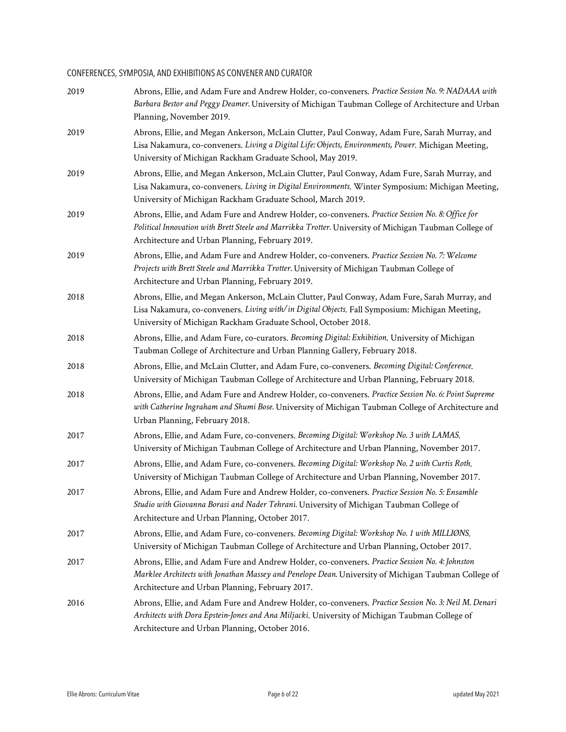# CONFERENCES, SYMPOSIA, AND EXHIBITIONS AS CONVENER AND CURATOR

| 2019 | Abrons, Ellie, and Adam Fure and Andrew Holder, co-conveners. Practice Session No. 9: NADAAA with<br>Barbara Bestor and Peggy Deamer. University of Michigan Taubman College of Architecture and Urban<br>Planning, November 2019.                               |
|------|------------------------------------------------------------------------------------------------------------------------------------------------------------------------------------------------------------------------------------------------------------------|
| 2019 | Abrons, Ellie, and Megan Ankerson, McLain Clutter, Paul Conway, Adam Fure, Sarah Murray, and<br>Lisa Nakamura, co-conveners. Living a Digital Life: Objects, Environments, Power. Michigan Meeting,<br>University of Michigan Rackham Graduate School, May 2019. |
| 2019 | Abrons, Ellie, and Megan Ankerson, McLain Clutter, Paul Conway, Adam Fure, Sarah Murray, and<br>Lisa Nakamura, co-conveners. Living in Digital Environments. Winter Symposium: Michigan Meeting,<br>University of Michigan Rackham Graduate School, March 2019.  |
| 2019 | Abrons, Ellie, and Adam Fure and Andrew Holder, co-conveners. Practice Session No. 8: Office for<br>Political Innovation with Brett Steele and Marrikka Trotter. University of Michigan Taubman College of<br>Architecture and Urban Planning, February 2019.    |
| 2019 | Abrons, Ellie, and Adam Fure and Andrew Holder, co-conveners. Practice Session No. 7: Welcome<br>Projects with Brett Steele and Marrikka Trotter. University of Michigan Taubman College of<br>Architecture and Urban Planning, February 2019.                   |
| 2018 | Abrons, Ellie, and Megan Ankerson, McLain Clutter, Paul Conway, Adam Fure, Sarah Murray, and<br>Lisa Nakamura, co-conveners. Living with/in Digital Objects. Fall Symposium: Michigan Meeting,<br>University of Michigan Rackham Graduate School, October 2018.  |
| 2018 | Abrons, Ellie, and Adam Fure, co-curators. Becoming Digital: Exhibition. University of Michigan<br>Taubman College of Architecture and Urban Planning Gallery, February 2018.                                                                                    |
| 2018 | Abrons, Ellie, and McLain Clutter, and Adam Fure, co-conveners. Becoming Digital: Conference.<br>University of Michigan Taubman College of Architecture and Urban Planning, February 2018.                                                                       |
| 2018 | Abrons, Ellie, and Adam Fure and Andrew Holder, co-conveners. Practice Session No. 6: Point Supreme<br>with Catherine Ingraham and Shumi Bose. University of Michigan Taubman College of Architecture and<br>Urban Planning, February 2018.                      |
| 2017 | Abrons, Ellie, and Adam Fure, co-conveners. Becoming Digital: Workshop No. 3 with LAMAS.<br>University of Michigan Taubman College of Architecture and Urban Planning, November 2017.                                                                            |
| 2017 | Abrons, Ellie, and Adam Fure, co-conveners. Becoming Digital: Workshop No. 2 with Curtis Roth.<br>University of Michigan Taubman College of Architecture and Urban Planning, November 2017.                                                                      |
| 2017 | Abrons, Ellie, and Adam Fure and Andrew Holder, co-conveners. Practice Session No. 5: Ensamble<br>Studio with Giovanna Borasi and Nader Tehrani. University of Michigan Taubman College of<br>Architecture and Urban Planning, October 2017.                     |
| 2017 | Abrons, Ellie, and Adam Fure, co-conveners. Becoming Digital: Workshop No. 1 with MILLIONS.<br>University of Michigan Taubman College of Architecture and Urban Planning, October 2017.                                                                          |
| 2017 | Abrons, Ellie, and Adam Fure and Andrew Holder, co-conveners. Practice Session No. 4: Johnston<br>Marklee Architects with Jonathan Massey and Penelope Dean. University of Michigan Taubman College of<br>Architecture and Urban Planning, February 2017.        |
| 2016 | Abrons, Ellie, and Adam Fure and Andrew Holder, co-conveners. Practice Session No. 3: Neil M. Denari<br>Architects with Dora Epstein-Jones and Ana Miljacki. University of Michigan Taubman College of<br>Architecture and Urban Planning, October 2016.         |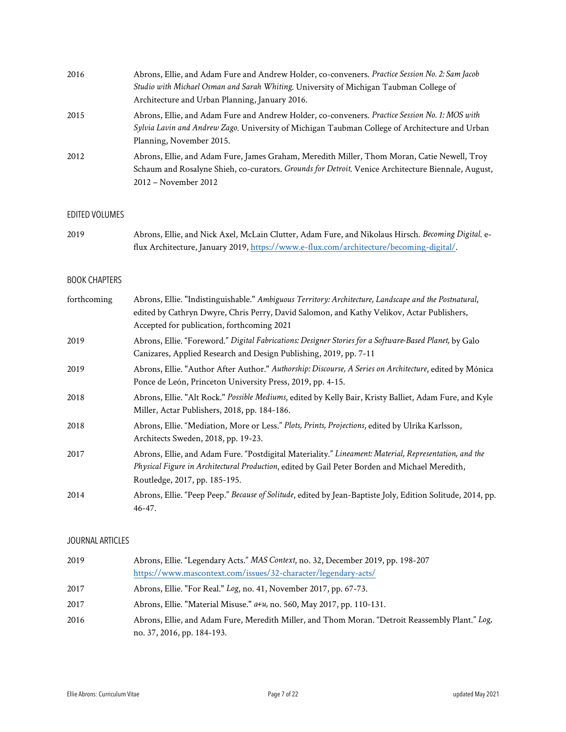| 2016 | Abrons, Ellie, and Adam Fure and Andrew Holder, co-conveners. Practice Session No. 2: Sam Jacob    |
|------|----------------------------------------------------------------------------------------------------|
|      | Studio with Michael Osman and Sarah Whiting, University of Michigan Taubman College of             |
|      | Architecture and Urban Planning, January 2016.                                                     |
| 2015 | Abrons, Ellie, and Adam Fure and Andrew Holder, co-conveners. Practice Session No. 1: MOS with     |
|      | Sylvia Lavin and Andrew Zago. University of Michigan Taubman College of Architecture and Urban     |
|      | Planning, November 2015.                                                                           |
| 2012 | Abrons, Ellie, and Adam Fure, James Graham, Meredith Miller, Thom Moran, Catie Newell, Troy        |
|      | Schaum and Rosalyne Shieh, co-curators. Grounds for Detroit. Venice Architecture Biennale, August, |
|      | 2012 – November 2012                                                                               |

#### EDITED VOLUMES

| 2019 | Abrons, Ellie, and Nick Axel, McLain Clutter, Adam Fure, and Nikolaus Hirsch. Becoming Digital. e- |
|------|----------------------------------------------------------------------------------------------------|
|      | flux Architecture, January 2019, https://www.e-flux.com/architecture/becoming-digital/.            |

### BOOK CHAPTERS

| forthcoming | Abrons, Ellie. "Indistinguishable." Ambiguous Territory: Architecture, Landscape and the Postnatural,<br>edited by Cathryn Dwyre, Chris Perry, David Salomon, and Kathy Velikov, Actar Publishers,<br>Accepted for publication, forthcoming 2021 |
|-------------|--------------------------------------------------------------------------------------------------------------------------------------------------------------------------------------------------------------------------------------------------|
| 2019        | Abrons, Ellie. "Foreword." Digital Fabrications: Designer Stories for a Software-Based Planet, by Galo<br>Canizares, Applied Research and Design Publishing, 2019, pp. 7-11                                                                      |
| 2019        | Abrons, Ellie. "Author After Author." Authorship: Discourse, A Series on Architecture, edited by Mónica<br>Ponce de León, Princeton University Press, 2019, pp. 4-15.                                                                            |
| 2018        | Abrons, Ellie. "Alt Rock." Possible Mediums, edited by Kelly Bair, Kristy Balliet, Adam Fure, and Kyle<br>Miller, Actar Publishers, 2018, pp. 184-186.                                                                                           |
| 2018        | Abrons, Ellie. "Mediation, More or Less." Plots, Prints, Projections, edited by Ulrika Karlsson,<br>Architects Sweden, 2018, pp. 19-23.                                                                                                          |
| 2017        | Abrons, Ellie, and Adam Fure. "Postdigital Materiality." Lineament: Material, Representation, and the<br>Physical Figure in Architectural Production, edited by Gail Peter Borden and Michael Meredith,<br>Routledge, 2017, pp. 185-195.         |
| 2014        | Abrons, Ellie. "Peep Peep." Because of Solitude, edited by Jean-Baptiste Joly, Edition Solitude, 2014, pp.<br>$46 - 47.$                                                                                                                         |

### JOURNAL ARTICLES

| 2019 | Abrons, Ellie. "Legendary Acts." MAS Context, no. 32, December 2019, pp. 198-207                |
|------|-------------------------------------------------------------------------------------------------|
|      | https://www.mascontext.com/issues/32-character/legendary-acts/                                  |
| 2017 | Abrons, Ellie. "For Real." Log, no. 41, November 2017, pp. 67-73.                               |
| 2017 | Abrons, Ellie. "Material Misuse." $a+u$ , no. 560, May 2017, pp. 110-131.                       |
| 2016 | Abrons, Ellie, and Adam Fure, Meredith Miller, and Thom Moran. "Detroit Reassembly Plant." Log, |
|      | no. 37, 2016, pp. 184-193.                                                                      |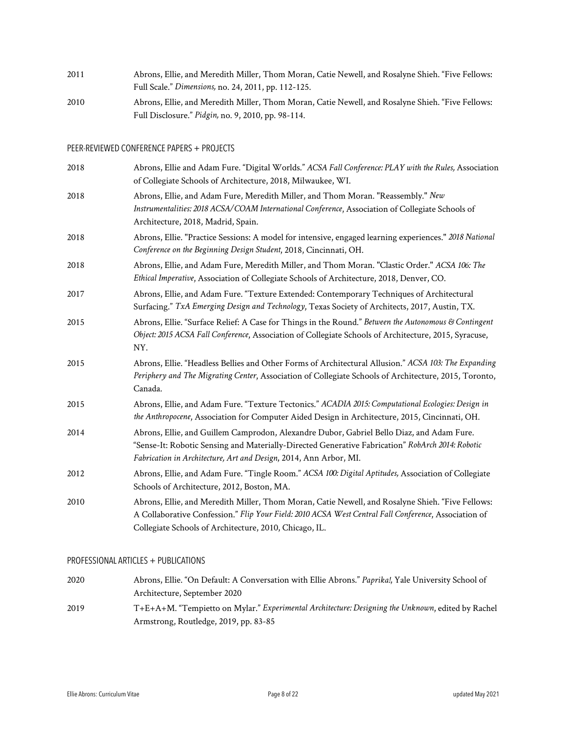| 2011 | Abrons, Ellie, and Meredith Miller, Thom Moran, Catie Newell, and Rosalyne Shieh. "Five Fellows: |
|------|--------------------------------------------------------------------------------------------------|
|      | Full Scale." Dimensions, no. 24, 2011, pp. 112-125.                                              |
| 2010 | Abrons, Ellie, and Meredith Miller, Thom Moran, Catie Newell, and Rosalyne Shieh. "Five Fellows: |
|      | Full Disclosure." Pidgin, no. 9, 2010, pp. 98-114.                                               |

### PEER-REVIEWED CONFERENCE PAPERS + PROJECTS

| 2018 | Abrons, Ellie and Adam Fure. "Digital Worlds." ACSA Fall Conference: PLAY with the Rules, Association<br>of Collegiate Schools of Architecture, 2018, Milwaukee, WI.                                                                                               |
|------|--------------------------------------------------------------------------------------------------------------------------------------------------------------------------------------------------------------------------------------------------------------------|
| 2018 | Abrons, Ellie, and Adam Fure, Meredith Miller, and Thom Moran. "Reassembly." New<br>Instrumentalities: 2018 ACSA/COAM International Conference, Association of Collegiate Schools of<br>Architecture, 2018, Madrid, Spain.                                         |
| 2018 | Abrons, Ellie. "Practice Sessions: A model for intensive, engaged learning experiences." 2018 National<br>Conference on the Beginning Design Student, 2018, Cincinnati, OH.                                                                                        |
| 2018 | Abrons, Ellie, and Adam Fure, Meredith Miller, and Thom Moran. "Clastic Order." ACSA 106: The<br>Ethical Imperative, Association of Collegiate Schools of Architecture, 2018, Denver, CO.                                                                          |
| 2017 | Abrons, Ellie, and Adam Fure. "Texture Extended: Contemporary Techniques of Architectural<br>Surfacing." TxA Emerging Design and Technology, Texas Society of Architects, 2017, Austin, TX.                                                                        |
| 2015 | Abrons, Ellie. "Surface Relief: A Case for Things in the Round." Between the Autonomous & Contingent<br>Object: 2015 ACSA Fall Conference, Association of Collegiate Schools of Architecture, 2015, Syracuse,<br>NY.                                               |
| 2015 | Abrons, Ellie. "Headless Bellies and Other Forms of Architectural Allusion." ACSA 103: The Expanding<br>Periphery and The Migrating Center, Association of Collegiate Schools of Architecture, 2015, Toronto,<br>Canada.                                           |
| 2015 | Abrons, Ellie, and Adam Fure. "Texture Tectonics." ACADIA 2015: Computational Ecologies: Design in<br>the Anthropocene, Association for Computer Aided Design in Architecture, 2015, Cincinnati, OH.                                                               |
| 2014 | Abrons, Ellie, and Guillem Camprodon, Alexandre Dubor, Gabriel Bello Diaz, and Adam Fure.<br>"Sense-It: Robotic Sensing and Materially-Directed Generative Fabrication" RobArch 2014: Robotic<br>Fabrication in Architecture, Art and Design, 2014, Ann Arbor, MI. |
| 2012 | Abrons, Ellie, and Adam Fure. "Tingle Room." ACSA 100: Digital Aptitudes, Association of Collegiate<br>Schools of Architecture, 2012, Boston, MA.                                                                                                                  |
| 2010 | Abrons, Ellie, and Meredith Miller, Thom Moran, Catie Newell, and Rosalyne Shieh. "Five Fellows:<br>A Collaborative Confession." Flip Your Field: 2010 ACSA West Central Fall Conference, Association of<br>Collegiate Schools of Architecture, 2010, Chicago, IL. |

### PROFESSIONAL ARTICLES + PUBLICATIONS

| 2020 | Abrons, Ellie. "On Default: A Conversation with Ellie Abrons." Paprika!, Yale University School of |
|------|----------------------------------------------------------------------------------------------------|
|      | Architecture, September 2020                                                                       |
| 2019 | T+E+A+M. "Tempietto on Mylar." Experimental Architecture: Designing the Unknown, edited by Rachel  |
|      | Armstrong, Routledge, 2019, pp. 83-85                                                              |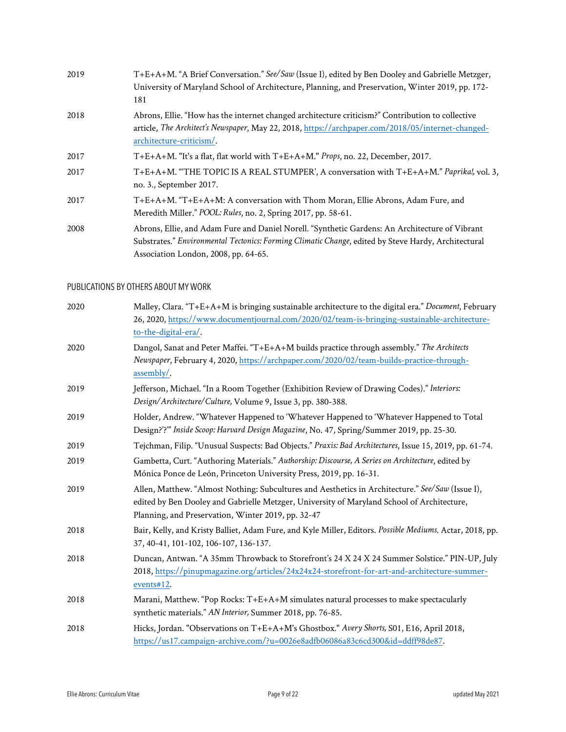| 2019 | T+E+A+M. "A Brief Conversation." See/Saw (Issue I), edited by Ben Dooley and Gabrielle Metzger,<br>University of Maryland School of Architecture, Planning, and Preservation, Winter 2019, pp. 172-<br>181                                    |
|------|-----------------------------------------------------------------------------------------------------------------------------------------------------------------------------------------------------------------------------------------------|
| 2018 | Abrons, Ellie. "How has the internet changed architecture criticism?" Contribution to collective<br>article, The Architect's Newspaper, May 22, 2018, https://archpaper.com/2018/05/internet-changed-<br>architecture-criticism/.             |
| 2017 | T+E+A+M. "It's a flat, flat world with T+E+A+M." Props, no. 22, December, 2017.                                                                                                                                                               |
| 2017 | T+E+A+M. "THE TOPIC IS A REAL STUMPER', A conversation with T+E+A+M." Paprika!, vol. 3,<br>no. 3., September 2017.                                                                                                                            |
| 2017 | T+E+A+M. "T+E+A+M: A conversation with Thom Moran, Ellie Abrons, Adam Fure, and<br>Meredith Miller." <i>POOL: Rules</i> , no. 2, Spring 2017, pp. 58-61.                                                                                      |
| 2008 | Abrons, Ellie, and Adam Fure and Daniel Norell. "Synthetic Gardens: An Architecture of Vibrant<br>Substrates," Environmental Tectonics: Forming Climatic Change, edited by Steve Hardy, Architectural<br>Association London, 2008, pp. 64-65. |

### PUBLICATIONS BY OTHERS ABOUT MY WORK

| 2020 | Malley, Clara. "T+E+A+M is bringing sustainable architecture to the digital era." Document, February<br>26, 2020, https://www.documentjournal.com/2020/02/team-is-bringing-sustainable-architecture-<br>to-the-digital-era/.                         |
|------|------------------------------------------------------------------------------------------------------------------------------------------------------------------------------------------------------------------------------------------------------|
| 2020 | Dangol, Sanat and Peter Maffei. "T+E+A+M builds practice through assembly." The Architects<br>Newspaper, February 4, 2020, https://archpaper.com/2020/02/team-builds-practice-through-<br>assembly/.                                                 |
| 2019 | Jefferson, Michael. "In a Room Together (Exhibition Review of Drawing Codes)." Interiors:<br>Design/Architecture/Culture, Volume 9, Issue 3, pp. 380-388.                                                                                            |
| 2019 | Holder, Andrew. "Whatever Happened to 'Whatever Happened to 'Whatever Happened to Total<br>Design?'?" Inside Scoop: Harvard Design Magazine, No. 47, Spring/Summer 2019, pp. 25-30.                                                                  |
| 2019 | Tejchman, Filip. "Unusual Suspects: Bad Objects." Praxis: Bad Architectures, Issue 15, 2019, pp. 61-74.                                                                                                                                              |
| 2019 | Gambetta, Curt. "Authoring Materials." Authorship: Discourse, A Series on Architecture, edited by<br>Mónica Ponce de León, Princeton University Press, 2019, pp. 16-31.                                                                              |
| 2019 | Allen, Matthew. "Almost Nothing: Subcultures and Aesthetics in Architecture." See/Saw (Issue I),<br>edited by Ben Dooley and Gabrielle Metzger, University of Maryland School of Architecture,<br>Planning, and Preservation, Winter 2019, pp. 32-47 |
| 2018 | Bair, Kelly, and Kristy Balliet, Adam Fure, and Kyle Miller, Editors. Possible Mediums. Actar, 2018, pp.<br>37, 40-41, 101-102, 106-107, 136-137.                                                                                                    |
| 2018 | Duncan, Antwan. "A 35mm Throwback to Storefront's 24 X 24 X 24 Summer Solstice." PIN-UP, July<br>2018, https://pinupmagazine.org/articles/24x24x24-storefront-for-art-and-architecture-summer-<br>events#12.                                         |
| 2018 | Marani, Matthew. "Pop Rocks: T+E+A+M simulates natural processes to make spectacularly<br>synthetic materials." AN Interior, Summer 2018, pp. 76-85.                                                                                                 |
| 2018 | Hicks, Jordan. "Observations on T+E+A+M's Ghostbox." Avery Shorts, S01, E16, April 2018,<br>https://us17.campaign-archive.com/?u=0026e8adfb06086a83c6cd300&id=ddff98de87.                                                                            |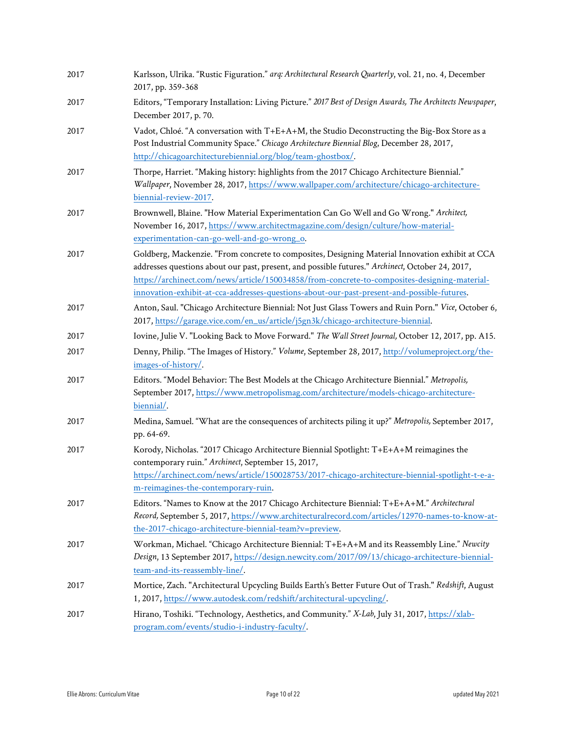| 2017 | Karlsson, Ulrika. "Rustic Figuration." arq: Architectural Research Quarterly, vol. 21, no. 4, December<br>2017, pp. 359-368                                                                                                                                                                                                                                                                       |
|------|---------------------------------------------------------------------------------------------------------------------------------------------------------------------------------------------------------------------------------------------------------------------------------------------------------------------------------------------------------------------------------------------------|
| 2017 | Editors, "Temporary Installation: Living Picture." 2017 Best of Design Awards, The Architects Newspaper,<br>December 2017, p. 70.                                                                                                                                                                                                                                                                 |
| 2017 | Vadot, Chloé. "A conversation with T+E+A+M, the Studio Deconstructing the Big-Box Store as a<br>Post Industrial Community Space." Chicago Architecture Biennial Blog, December 28, 2017,<br>http://chicagoarchitecturebiennial.org/blog/team-ghostbox/.                                                                                                                                           |
| 2017 | Thorpe, Harriet. "Making history: highlights from the 2017 Chicago Architecture Biennial."<br>Wallpaper, November 28, 2017, https://www.wallpaper.com/architecture/chicago-architecture-<br>biennial-review-2017.                                                                                                                                                                                 |
| 2017 | Brownwell, Blaine. "How Material Experimentation Can Go Well and Go Wrong." Architect,<br>November 16, 2017, https://www.architectmagazine.com/design/culture/how-material-<br>experimentation-can-go-well-and-go-wrong_o.                                                                                                                                                                        |
| 2017 | Goldberg, Mackenzie. "From concrete to composites, Designing Material Innovation exhibit at CCA<br>addresses questions about our past, present, and possible futures." Archinect, October 24, 2017,<br>https://archinect.com/news/article/150034858/from-concrete-to-composites-designing-material-<br>innovation-exhibit-at-cca-addresses-questions-about-our-past-present-and-possible-futures. |
| 2017 | Anton, Saul. "Chicago Architecture Biennial: Not Just Glass Towers and Ruin Porn." Vice, October 6,<br>2017, https://garage.vice.com/en_us/article/j5gn3k/chicago-architecture-biennial.                                                                                                                                                                                                          |
| 2017 | Iovine, Julie V. "Looking Back to Move Forward." The Wall Street Journal, October 12, 2017, pp. A15.                                                                                                                                                                                                                                                                                              |
| 2017 | Denny, Philip. "The Images of History." Volume, September 28, 2017, http://volumeproject.org/the-<br>images-of-history/.                                                                                                                                                                                                                                                                          |
| 2017 | Editors. "Model Behavior: The Best Models at the Chicago Architecture Biennial." Metropolis,<br>September 2017, https://www.metropolismag.com/architecture/models-chicago-architecture-<br>biennial/.                                                                                                                                                                                             |
| 2017 | Medina, Samuel. "What are the consequences of architects piling it up?" Metropolis, September 2017,<br>pp. 64-69.                                                                                                                                                                                                                                                                                 |
| 2017 | Korody, Nicholas. "2017 Chicago Architecture Biennial Spotlight: T+E+A+M reimagines the<br>contemporary ruin." Archinect, September 15, 2017,<br>https://archinect.com/news/article/150028753/2017-chicago-architecture-biennial-spotlight-t-e-a-<br>m-reimagines-the-contemporary-ruin.                                                                                                          |
| 2017 | Editors. "Names to Know at the 2017 Chicago Architecture Biennial: T+E+A+M." Architectural<br>Record, September 5, 2017, https://www.architecturalrecord.com/articles/12970-names-to-know-at-<br>the-2017-chicago-architecture-biennial-team?v=preview.                                                                                                                                           |
| 2017 | Workman, Michael. "Chicago Architecture Biennial: T+E+A+M and its Reassembly Line." Newcity<br>Design, 13 September 2017, https://design.newcity.com/2017/09/13/chicago-architecture-biennial-<br>team-and-its-reassembly-line/.                                                                                                                                                                  |
| 2017 | Mortice, Zach. "Architectural Upcycling Builds Earth's Better Future Out of Trash." Redshift, August<br>1, 2017, https://www.autodesk.com/redshift/architectural-upcycling/.                                                                                                                                                                                                                      |
| 2017 | Hirano, Toshiki. "Technology, Aesthetics, and Community." X-Lab, July 31, 2017, https://xlab-<br>program.com/events/studio-i-industry-faculty/.                                                                                                                                                                                                                                                   |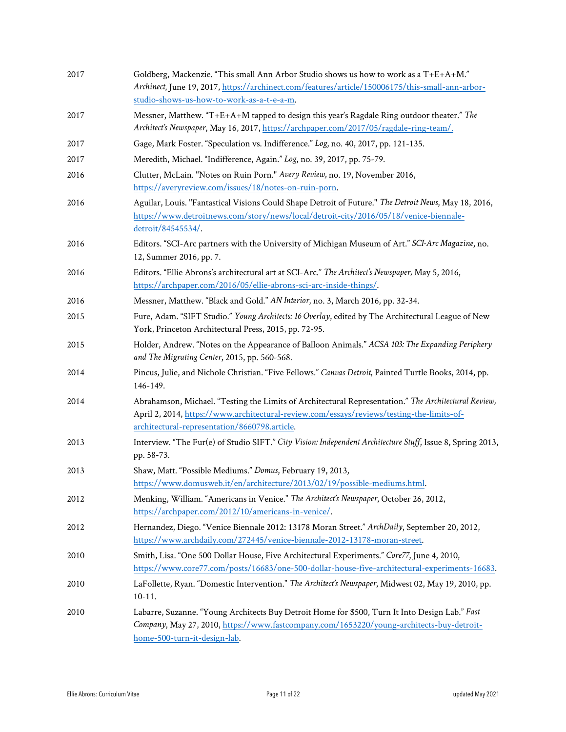| 2017 | Goldberg, Mackenzie. "This small Ann Arbor Studio shows us how to work as a T+E+A+M."<br>Archinect, June 19, 2017, https://archinect.com/features/article/150006175/this-small-ann-arbor-<br>studio-shows-us-how-to-work-as-a-t-e-a-m.             |
|------|----------------------------------------------------------------------------------------------------------------------------------------------------------------------------------------------------------------------------------------------------|
| 2017 | Messner, Matthew. "T+E+A+M tapped to design this year's Ragdale Ring outdoor theater." The<br>Architect's Newspaper, May 16, 2017, https://archpaper.com/2017/05/ragdale-ring-team/.                                                               |
| 2017 | Gage, Mark Foster. "Speculation vs. Indifference." Log, no. 40, 2017, pp. 121-135.                                                                                                                                                                 |
| 2017 | Meredith, Michael. "Indifference, Again." Log, no. 39, 2017, pp. 75-79.                                                                                                                                                                            |
| 2016 | Clutter, McLain. "Notes on Ruin Porn." Avery Review, no. 19, November 2016,<br>https://averyreview.com/issues/18/notes-on-ruin-porn.                                                                                                               |
| 2016 | Aguilar, Louis. "Fantastical Visions Could Shape Detroit of Future." The Detroit News, May 18, 2016,<br>https://www.detroitnews.com/story/news/local/detroit-city/2016/05/18/venice-biennale-<br>detroit/84545534/.                                |
| 2016 | Editors. "SCI-Arc partners with the University of Michigan Museum of Art." SCI-Arc Magazine, no.<br>12, Summer 2016, pp. 7.                                                                                                                        |
| 2016 | Editors. "Ellie Abrons's architectural art at SCI-Arc." The Architect's Newspaper, May 5, 2016,<br>https://archpaper.com/2016/05/ellie-abrons-sci-arc-inside-things/.                                                                              |
| 2016 | Messner, Matthew. "Black and Gold." AN Interior, no. 3, March 2016, pp. 32-34.                                                                                                                                                                     |
| 2015 | Fure, Adam. "SIFT Studio." Young Architects: 16 Overlay, edited by The Architectural League of New<br>York, Princeton Architectural Press, 2015, pp. 72-95.                                                                                        |
| 2015 | Holder, Andrew. "Notes on the Appearance of Balloon Animals." ACSA 103: The Expanding Periphery<br>and The Migrating Center, 2015, pp. 560-568.                                                                                                    |
| 2014 | Pincus, Julie, and Nichole Christian. "Five Fellows." Canvas Detroit, Painted Turtle Books, 2014, pp.<br>146-149.                                                                                                                                  |
| 2014 | Abrahamson, Michael. "Testing the Limits of Architectural Representation." The Architectural Review,<br>April 2, 2014, https://www.architectural-review.com/essays/reviews/testing-the-limits-of-<br>architectural-representation/8660798.article. |
| 2013 | Interview. "The Fur(e) of Studio SIFT." City Vision: Independent Architecture Stuff, Issue 8, Spring 2013,<br>pp. 58-73.                                                                                                                           |
| 2013 | Shaw, Matt. "Possible Mediums." Domus, February 19, 2013,<br>https://www.domusweb.it/en/architecture/2013/02/19/possible-mediums.html.                                                                                                             |
| 2012 | Menking, William. "Americans in Venice." The Architect's Newspaper, October 26, 2012,<br>https://archpaper.com/2012/10/americans-in-venice/.                                                                                                       |
| 2012 | Hernandez, Diego. "Venice Biennale 2012: 13178 Moran Street." ArchDaily, September 20, 2012,<br>https://www.archdaily.com/272445/venice-biennale-2012-13178-moran-street.                                                                          |
| 2010 | Smith, Lisa. "One 500 Dollar House, Five Architectural Experiments." Core77, June 4, 2010,<br>https://www.core77.com/posts/16683/one-500-dollar-house-five-architectural-experiments-16683.                                                        |
| 2010 | LaFollette, Ryan. "Domestic Intervention." The Architect's Newspaper, Midwest 02, May 19, 2010, pp.<br>$10-11.$                                                                                                                                    |
| 2010 | Labarre, Suzanne. "Young Architects Buy Detroit Home for \$500, Turn It Into Design Lab." Fast<br>Company, May 27, 2010, https://www.fastcompany.com/1653220/young-architects-buy-detroit-<br>home-500-turn-it-design-lab.                         |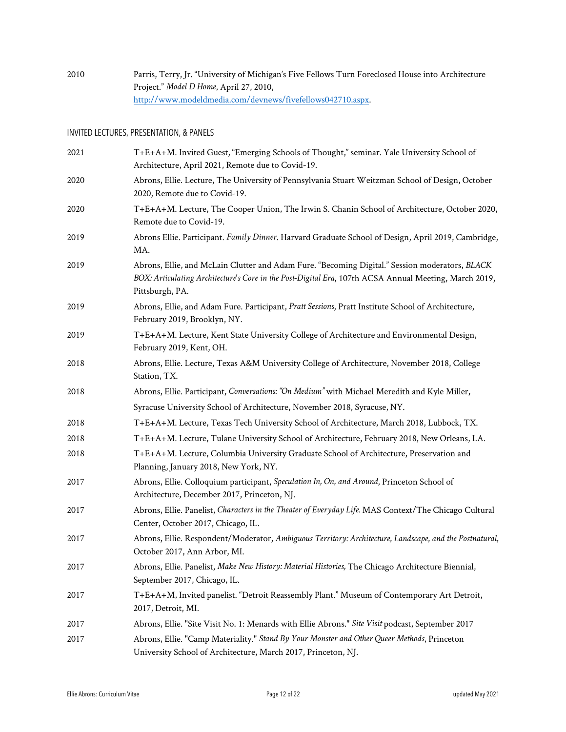2010 Parris, Terry, Jr. "University of Michigan's Five Fellows Turn Foreclosed House into Architecture Project." *Model D Home*, April 27, 2010, http://www.modeldmedia.com/devnews/fivefellows042710.aspx.

#### INVITED LECTURES, PRESENTATION, & PANELS

| 2021 | T+E+A+M. Invited Guest, "Emerging Schools of Thought," seminar. Yale University School of<br>Architecture, April 2021, Remote due to Covid-19.                                                                             |
|------|----------------------------------------------------------------------------------------------------------------------------------------------------------------------------------------------------------------------------|
| 2020 | Abrons, Ellie. Lecture, The University of Pennsylvania Stuart Weitzman School of Design, October<br>2020, Remote due to Covid-19.                                                                                          |
| 2020 | T+E+A+M. Lecture, The Cooper Union, The Irwin S. Chanin School of Architecture, October 2020,<br>Remote due to Covid-19.                                                                                                   |
| 2019 | Abrons Ellie. Participant. Family Dinner. Harvard Graduate School of Design, April 2019, Cambridge,<br>MA.                                                                                                                 |
| 2019 | Abrons, Ellie, and McLain Clutter and Adam Fure. "Becoming Digital." Session moderators, BLACK<br>BOX: Articulating Architecture's Core in the Post-Digital Era, 107th ACSA Annual Meeting, March 2019,<br>Pittsburgh, PA. |
| 2019 | Abrons, Ellie, and Adam Fure. Participant, Pratt Sessions, Pratt Institute School of Architecture,<br>February 2019, Brooklyn, NY.                                                                                         |
| 2019 | T+E+A+M. Lecture, Kent State University College of Architecture and Environmental Design,<br>February 2019, Kent, OH.                                                                                                      |
| 2018 | Abrons, Ellie. Lecture, Texas A&M University College of Architecture, November 2018, College<br>Station, TX.                                                                                                               |
| 2018 | Abrons, Ellie. Participant, Conversations: "On Medium" with Michael Meredith and Kyle Miller,                                                                                                                              |
|      | Syracuse University School of Architecture, November 2018, Syracuse, NY.                                                                                                                                                   |
| 2018 | T+E+A+M. Lecture, Texas Tech University School of Architecture, March 2018, Lubbock, TX.                                                                                                                                   |
| 2018 | T+E+A+M. Lecture, Tulane University School of Architecture, February 2018, New Orleans, LA.                                                                                                                                |
| 2018 | T+E+A+M. Lecture, Columbia University Graduate School of Architecture, Preservation and<br>Planning, January 2018, New York, NY.                                                                                           |
| 2017 | Abrons, Ellie. Colloquium participant, Speculation In, On, and Around, Princeton School of<br>Architecture, December 2017, Princeton, NJ.                                                                                  |
| 2017 | Abrons, Ellie. Panelist, Characters in the Theater of Everyday Life. MAS Context/The Chicago Cultural<br>Center, October 2017, Chicago, IL.                                                                                |
| 2017 | Abrons, Ellie. Respondent/Moderator, Ambiguous Territory: Architecture, Landscape, and the Postnatural,<br>October 2017, Ann Arbor, MI.                                                                                    |
| 2017 | Abrons, Ellie. Panelist, Make New History: Material Histories, The Chicago Architecture Biennial,<br>September 2017, Chicago, IL.                                                                                          |
| 2017 | T+E+A+M, Invited panelist. "Detroit Reassembly Plant." Museum of Contemporary Art Detroit,<br>2017, Detroit, MI.                                                                                                           |
| 2017 | Abrons, Ellie. "Site Visit No. 1: Menards with Ellie Abrons." Site Visit podcast, September 2017                                                                                                                           |
| 2017 | Abrons, Ellie. "Camp Materiality." Stand By Your Monster and Other Queer Methods, Princeton<br>University School of Architecture, March 2017, Princeton, NJ.                                                               |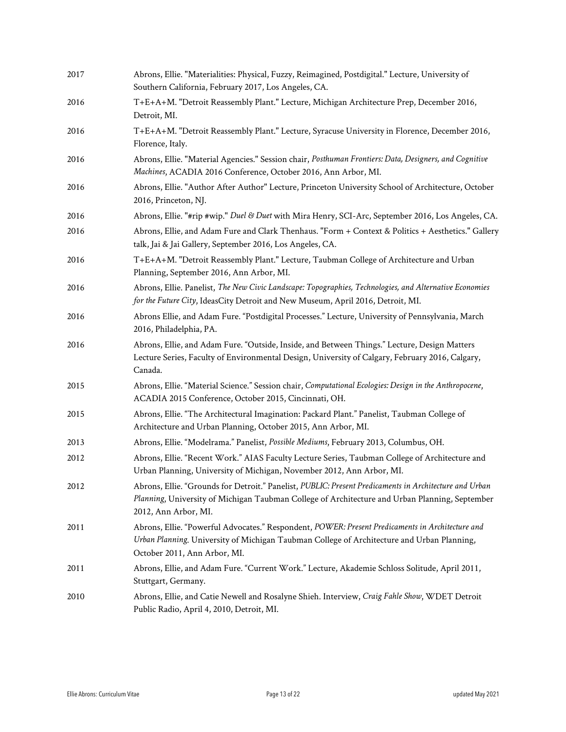| 2017 | Abrons, Ellie. "Materialities: Physical, Fuzzy, Reimagined, Postdigital." Lecture, University of<br>Southern California, February 2017, Los Angeles, CA.                                                                         |
|------|----------------------------------------------------------------------------------------------------------------------------------------------------------------------------------------------------------------------------------|
| 2016 | T+E+A+M. "Detroit Reassembly Plant." Lecture, Michigan Architecture Prep, December 2016,<br>Detroit, MI.                                                                                                                         |
| 2016 | T+E+A+M. "Detroit Reassembly Plant." Lecture, Syracuse University in Florence, December 2016,<br>Florence, Italy.                                                                                                                |
| 2016 | Abrons, Ellie. "Material Agencies." Session chair, Posthuman Frontiers: Data, Designers, and Cognitive<br>Machines, ACADIA 2016 Conference, October 2016, Ann Arbor, MI.                                                         |
| 2016 | Abrons, Ellie. "Author After Author" Lecture, Princeton University School of Architecture, October<br>2016, Princeton, NJ.                                                                                                       |
| 2016 | Abrons, Ellie. "#rip #wip." Duel & Duet with Mira Henry, SCI-Arc, September 2016, Los Angeles, CA.                                                                                                                               |
| 2016 | Abrons, Ellie, and Adam Fure and Clark Thenhaus. "Form + Context & Politics + Aesthetics." Gallery<br>talk, Jai & Jai Gallery, September 2016, Los Angeles, CA.                                                                  |
| 2016 | T+E+A+M. "Detroit Reassembly Plant." Lecture, Taubman College of Architecture and Urban<br>Planning, September 2016, Ann Arbor, MI.                                                                                              |
| 2016 | Abrons, Ellie. Panelist, The New Civic Landscape: Topographies, Technologies, and Alternative Economies<br>for the Future City, IdeasCity Detroit and New Museum, April 2016, Detroit, MI.                                       |
| 2016 | Abrons Ellie, and Adam Fure. "Postdigital Processes." Lecture, University of Pennsylvania, March<br>2016, Philadelphia, PA.                                                                                                      |
| 2016 | Abrons, Ellie, and Adam Fure. "Outside, Inside, and Between Things." Lecture, Design Matters<br>Lecture Series, Faculty of Environmental Design, University of Calgary, February 2016, Calgary,<br>Canada.                       |
| 2015 | Abrons, Ellie. "Material Science." Session chair, Computational Ecologies: Design in the Anthropocene,<br>ACADIA 2015 Conference, October 2015, Cincinnati, OH.                                                                  |
| 2015 | Abrons, Ellie. "The Architectural Imagination: Packard Plant." Panelist, Taubman College of<br>Architecture and Urban Planning, October 2015, Ann Arbor, MI.                                                                     |
| 2013 | Abrons, Ellie. "Modelrama." Panelist, Possible Mediums, February 2013, Columbus, OH.                                                                                                                                             |
| 2012 | Abrons, Ellie. "Recent Work." AIAS Faculty Lecture Series, Taubman College of Architecture and<br>Urban Planning, University of Michigan, November 2012, Ann Arbor, MI.                                                          |
| 2012 | Abrons, Ellie. "Grounds for Detroit." Panelist, PUBLIC: Present Predicaments in Architecture and Urban<br>Planning, University of Michigan Taubman College of Architecture and Urban Planning, September<br>2012, Ann Arbor, MI. |
| 2011 | Abrons, Ellie. "Powerful Advocates." Respondent, POWER: Present Predicaments in Architecture and<br>Urban Planning. University of Michigan Taubman College of Architecture and Urban Planning,<br>October 2011, Ann Arbor, MI.   |
| 2011 | Abrons, Ellie, and Adam Fure. "Current Work." Lecture, Akademie Schloss Solitude, April 2011,<br>Stuttgart, Germany.                                                                                                             |
| 2010 | Abrons, Ellie, and Catie Newell and Rosalyne Shieh. Interview, Craig Fahle Show, WDET Detroit<br>Public Radio, April 4, 2010, Detroit, MI.                                                                                       |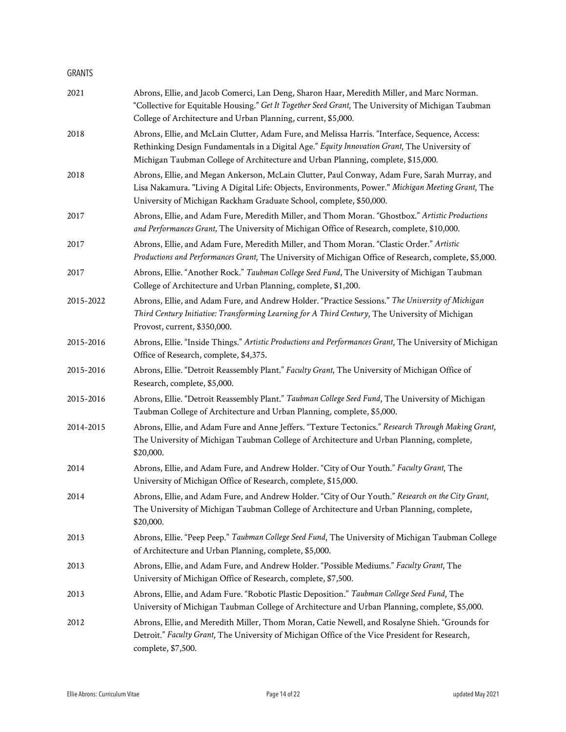#### GRANTS

| 2021      | Abrons, Ellie, and Jacob Comerci, Lan Deng, Sharon Haar, Meredith Miller, and Marc Norman.<br>"Collective for Equitable Housing." Get It Together Seed Grant, The University of Michigan Taubman<br>College of Architecture and Urban Planning, current, \$5,000.                   |  |
|-----------|-------------------------------------------------------------------------------------------------------------------------------------------------------------------------------------------------------------------------------------------------------------------------------------|--|
| 2018      | Abrons, Ellie, and McLain Clutter, Adam Fure, and Melissa Harris. "Interface, Sequence, Access:<br>Rethinking Design Fundamentals in a Digital Age." Equity Innovation Grant, The University of<br>Michigan Taubman College of Architecture and Urban Planning, complete, \$15,000. |  |
| 2018      | Abrons, Ellie, and Megan Ankerson, McLain Clutter, Paul Conway, Adam Fure, Sarah Murray, and<br>Lisa Nakamura. "Living A Digital Life: Objects, Environments, Power." Michigan Meeting Grant, The<br>University of Michigan Rackham Graduate School, complete, \$50,000.            |  |
| 2017      | Abrons, Ellie, and Adam Fure, Meredith Miller, and Thom Moran. "Ghostbox." Artistic Productions<br>and Performances Grant, The University of Michigan Office of Research, complete, \$10,000.                                                                                       |  |
| 2017      | Abrons, Ellie, and Adam Fure, Meredith Miller, and Thom Moran. "Clastic Order." Artistic<br>Productions and Performances Grant, The University of Michigan Office of Research, complete, \$5,000.                                                                                   |  |
| 2017      | Abrons, Ellie. "Another Rock." Taubman College Seed Fund, The University of Michigan Taubman<br>College of Architecture and Urban Planning, complete, \$1,200.                                                                                                                      |  |
| 2015-2022 | Abrons, Ellie, and Adam Fure, and Andrew Holder. "Practice Sessions." The University of Michigan<br>Third Century Initiative: Transforming Learning for A Third Century, The University of Michigan<br>Provost, current, \$350,000.                                                 |  |
| 2015-2016 | Abrons, Ellie. "Inside Things." Artistic Productions and Performances Grant, The University of Michigan<br>Office of Research, complete, \$4,375.                                                                                                                                   |  |
| 2015-2016 | Abrons, Ellie. "Detroit Reassembly Plant." Faculty Grant, The University of Michigan Office of<br>Research, complete, \$5,000.                                                                                                                                                      |  |
| 2015-2016 | Abrons, Ellie. "Detroit Reassembly Plant." Taubman College Seed Fund, The University of Michigan<br>Taubman College of Architecture and Urban Planning, complete, \$5,000.                                                                                                          |  |
| 2014-2015 | Abrons, Ellie, and Adam Fure and Anne Jeffers. "Texture Tectonics." Research Through Making Grant,<br>The University of Michigan Taubman College of Architecture and Urban Planning, complete,<br>\$20,000.                                                                         |  |
| 2014      | Abrons, Ellie, and Adam Fure, and Andrew Holder. "City of Our Youth." Faculty Grant, The<br>University of Michigan Office of Research, complete, \$15,000.                                                                                                                          |  |
| 2014      | Abrons, Ellie, and Adam Fure, and Andrew Holder. "City of Our Youth." Research on the City Grant,<br>The University of Michigan Taubman College of Architecture and Urban Planning, complete,<br>\$20,000.                                                                          |  |
| 2013      | Abrons, Ellie. "Peep Peep." Taubman College Seed Fund, The University of Michigan Taubman College<br>of Architecture and Urban Planning, complete, \$5,000.                                                                                                                         |  |
| 2013      | Abrons, Ellie, and Adam Fure, and Andrew Holder. "Possible Mediums." Faculty Grant, The<br>University of Michigan Office of Research, complete, \$7,500.                                                                                                                            |  |
| 2013      | Abrons, Ellie, and Adam Fure. "Robotic Plastic Deposition." Taubman College Seed Fund, The<br>University of Michigan Taubman College of Architecture and Urban Planning, complete, \$5,000.                                                                                         |  |
| 2012      | Abrons, Ellie, and Meredith Miller, Thom Moran, Catie Newell, and Rosalyne Shieh. "Grounds for<br>Detroit." Faculty Grant, The University of Michigan Office of the Vice President for Research,<br>complete, \$7,500.                                                              |  |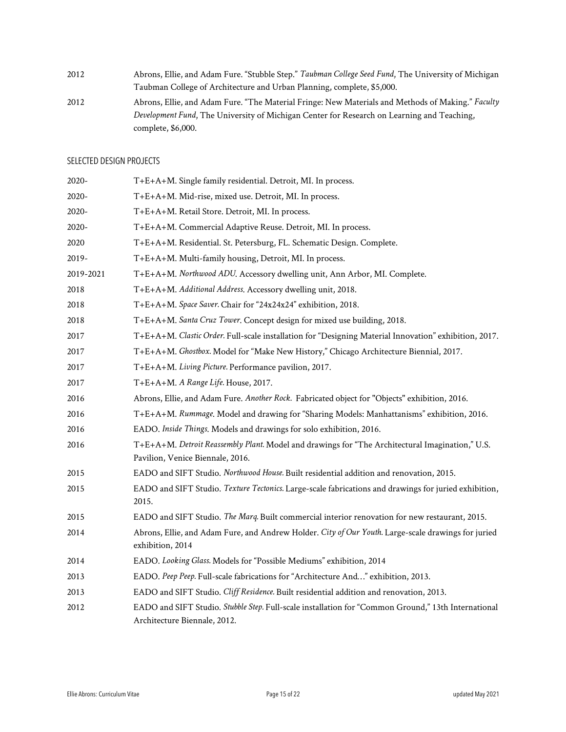| 2012 | Abrons, Ellie, and Adam Fure. "Stubble Step." Taubman College Seed Fund, The University of Michigan |
|------|-----------------------------------------------------------------------------------------------------|
|      | Taubman College of Architecture and Urban Planning, complete, \$5,000.                              |
| 2012 | Abrons, Ellie, and Adam Fure. "The Material Fringe: New Materials and Methods of Making." Faculty   |
|      | Development Fund, The University of Michigan Center for Research on Learning and Teaching,          |
|      | complete, \$6,000.                                                                                  |

### SELECTED DESIGN PROJECTS

| 2020-     | T+E+A+M. Single family residential. Detroit, MI. In process.                                                                        |
|-----------|-------------------------------------------------------------------------------------------------------------------------------------|
| 2020-     | T+E+A+M. Mid-rise, mixed use. Detroit, MI. In process.                                                                              |
| 2020-     | T+E+A+M. Retail Store. Detroit, MI. In process.                                                                                     |
| $2020 -$  | T+E+A+M. Commercial Adaptive Reuse. Detroit, MI. In process.                                                                        |
| 2020      | T+E+A+M. Residential. St. Petersburg, FL. Schematic Design. Complete.                                                               |
| 2019-     | T+E+A+M. Multi-family housing, Detroit, MI. In process.                                                                             |
| 2019-2021 | T+E+A+M. Northwood ADU. Accessory dwelling unit, Ann Arbor, MI. Complete.                                                           |
| 2018      | T+E+A+M. Additional Address. Accessory dwelling unit, 2018.                                                                         |
| 2018      | T+E+A+M. Space Saver. Chair for "24x24x24" exhibition, 2018.                                                                        |
| 2018      | T+E+A+M. Santa Cruz Tower. Concept design for mixed use building, 2018.                                                             |
| 2017      | T+E+A+M. Clastic Order. Full-scale installation for "Designing Material Innovation" exhibition, 2017.                               |
| 2017      | T+E+A+M. Ghostbox. Model for "Make New History," Chicago Architecture Biennial, 2017.                                               |
| 2017      | T+E+A+M. Living Picture. Performance pavilion, 2017.                                                                                |
| 2017      | T+E+A+M. A Range Life. House, 2017.                                                                                                 |
| 2016      | Abrons, Ellie, and Adam Fure. Another Rock. Fabricated object for "Objects" exhibition, 2016.                                       |
| 2016      | T+E+A+M. Rummage. Model and drawing for "Sharing Models: Manhattanisms" exhibition, 2016.                                           |
| 2016      | EADO. Inside Things. Models and drawings for solo exhibition, 2016.                                                                 |
| 2016      | T+E+A+M. Detroit Reassembly Plant. Model and drawings for "The Architectural Imagination," U.S.<br>Pavilion, Venice Biennale, 2016. |
| 2015      | EADO and SIFT Studio. Northwood House. Built residential addition and renovation, 2015.                                             |
| 2015      | EADO and SIFT Studio. Texture Tectonics. Large-scale fabrications and drawings for juried exhibition,<br>2015.                      |
| 2015      | EADO and SIFT Studio. The Marq. Built commercial interior renovation for new restaurant, 2015.                                      |
| 2014      | Abrons, Ellie, and Adam Fure, and Andrew Holder. City of Our Youth. Large-scale drawings for juried<br>exhibition, 2014             |
| 2014      | EADO. Looking Glass. Models for "Possible Mediums" exhibition, 2014                                                                 |
| 2013      | EADO. Peep Peep. Full-scale fabrications for "Architecture And" exhibition, 2013.                                                   |
| 2013      | EADO and SIFT Studio. Cliff Residence. Built residential addition and renovation, 2013.                                             |
| 2012      | EADO and SIFT Studio. Stubble Step. Full-scale installation for "Common Ground," 13th International<br>Architecture Biennale, 2012. |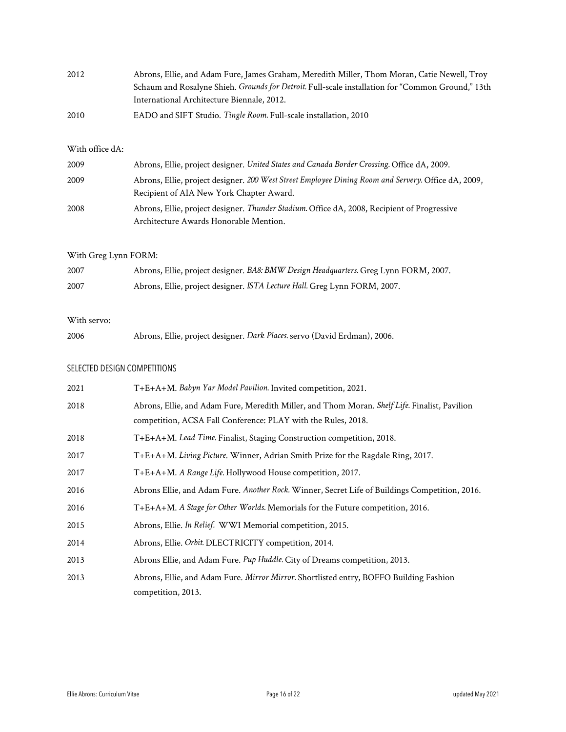| 2012 | Abrons, Ellie, and Adam Fure, James Graham, Meredith Miller, Thom Moran, Catie Newell, Troy       |
|------|---------------------------------------------------------------------------------------------------|
|      | Schaum and Rosalyne Shieh. Grounds for Detroit. Full-scale installation for "Common Ground," 13th |
|      | International Architecture Biennale, 2012.                                                        |
| 2010 | EADO and SIFT Studio. Tingle Room. Full-scale installation, 2010                                  |

#### With office dA:

| 2009 | Abrons, Ellie, project designer. United States and Canada Border Crossing. Office dA, 2009.         |
|------|-----------------------------------------------------------------------------------------------------|
| 2009 | Abrons, Ellie, project designer. 200 West Street Employee Dining Room and Servery. Office dA, 2009, |
|      | Recipient of AIA New York Chapter Award.                                                            |
| 2008 | Abrons, Ellie, project designer. Thunder Stadium. Office dA, 2008, Recipient of Progressive         |
|      | Architecture Awards Honorable Mention.                                                              |

### With Greg Lynn FORM:

| 2007 | Abrons, Ellie, project designer. BA8: BMW Design Headquarters. Greg Lynn FORM, 2007. |
|------|--------------------------------------------------------------------------------------|
| 2007 | Abrons, Ellie, project designer. ISTA Lecture Hall. Greg Lynn FORM, 2007.            |

#### With servo:

| 2006 | Abrons, Ellie, project designer. Dark Places. servo (David Erdman), 2006. |
|------|---------------------------------------------------------------------------|
|------|---------------------------------------------------------------------------|

### SELECTED DESIGN COMPETITIONS

| 2021 | T+E+A+M. Babyn Yar Model Pavilion. Invited competition, 2021.                                  |
|------|------------------------------------------------------------------------------------------------|
| 2018 | Abrons, Ellie, and Adam Fure, Meredith Miller, and Thom Moran. Shelf Life. Finalist, Pavilion  |
|      | competition, ACSA Fall Conference: PLAY with the Rules, 2018.                                  |
| 2018 | T+E+A+M. Lead Time. Finalist, Staging Construction competition, 2018.                          |
| 2017 | T+E+A+M. Living Picture. Winner, Adrian Smith Prize for the Ragdale Ring, 2017.                |
| 2017 | T+E+A+M. A Range Life. Hollywood House competition, 2017.                                      |
| 2016 | Abrons Ellie, and Adam Fure. Another Rock. Winner, Secret Life of Buildings Competition, 2016. |
| 2016 | T+E+A+M. A Stage for Other Worlds. Memorials for the Future competition, 2016.                 |
| 2015 | Abrons, Ellie. In Relief. WWI Memorial competition, 2015.                                      |
| 2014 | Abrons, Ellie. Orbit. DLECTRICITY competition, 2014.                                           |
| 2013 | Abrons Ellie, and Adam Fure. Pup Huddle. City of Dreams competition, 2013.                     |
| 2013 | Abrons, Ellie, and Adam Fure. Mirror Mirror. Shortlisted entry, BOFFO Building Fashion         |
|      | competition, 2013.                                                                             |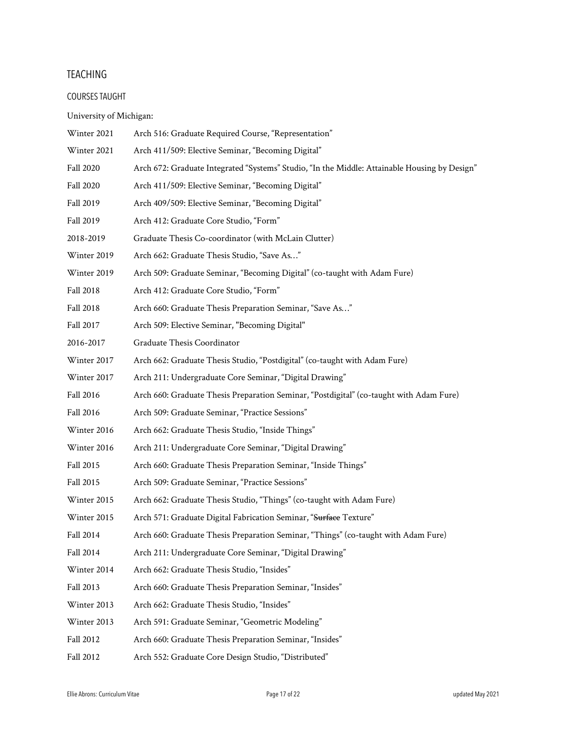#### **TEACHING**

#### COURSES TAUGHT

University of Michigan:

- Winter 2021 Arch 516: Graduate Required Course, "Representation"
- Winter 2021 Arch 411/509: Elective Seminar, "Becoming Digital"
- Fall 2020 Arch 672: Graduate Integrated "Systems" Studio, "In the Middle: Attainable Housing by Design"
- Fall 2020 Arch 411/509: Elective Seminar, "Becoming Digital"
- Fall 2019 Arch 409/509: Elective Seminar, "Becoming Digital"
- Fall 2019 Arch 412: Graduate Core Studio, "Form"
- 2018-2019 Graduate Thesis Co-coordinator (with McLain Clutter)
- Winter 2019 Arch 662: Graduate Thesis Studio, "Save As…"
- Winter 2019 Arch 509: Graduate Seminar, "Becoming Digital" (co-taught with Adam Fure)
- Fall 2018 Arch 412: Graduate Core Studio, "Form"
- Fall 2018 Arch 660: Graduate Thesis Preparation Seminar, "Save As..."
- Fall 2017 Arch 509: Elective Seminar, "Becoming Digital"
- 2016-2017 Graduate Thesis Coordinator
- Winter 2017 Arch 662: Graduate Thesis Studio, "Postdigital" (co-taught with Adam Fure)
- Winter 2017 Arch 211: Undergraduate Core Seminar, "Digital Drawing"
- Fall 2016 Arch 660: Graduate Thesis Preparation Seminar, "Postdigital" (co-taught with Adam Fure)
- Fall 2016 Arch 509: Graduate Seminar, "Practice Sessions"
- Winter 2016 Arch 662: Graduate Thesis Studio, "Inside Things"
- Winter 2016 Arch 211: Undergraduate Core Seminar, "Digital Drawing"
- Fall 2015 Arch 660: Graduate Thesis Preparation Seminar, "Inside Things"
- Fall 2015 Arch 509: Graduate Seminar, "Practice Sessions"
- Winter 2015 Arch 662: Graduate Thesis Studio, "Things" (co-taught with Adam Fure)
- Winter 2015 Arch 571: Graduate Digital Fabrication Seminar, "Surface Texture"
- Fall 2014 Arch 660: Graduate Thesis Preparation Seminar, "Things" (co-taught with Adam Fure)
- Fall 2014 Arch 211: Undergraduate Core Seminar, "Digital Drawing"
- Winter 2014 Arch 662: Graduate Thesis Studio, "Insides"
- Fall 2013 Arch 660: Graduate Thesis Preparation Seminar, "Insides"
- Winter 2013 Arch 662: Graduate Thesis Studio, "Insides"
- Winter 2013 Arch 591: Graduate Seminar, "Geometric Modeling"
- Fall 2012 Arch 660: Graduate Thesis Preparation Seminar, "Insides"
- Fall 2012 Arch 552: Graduate Core Design Studio, "Distributed"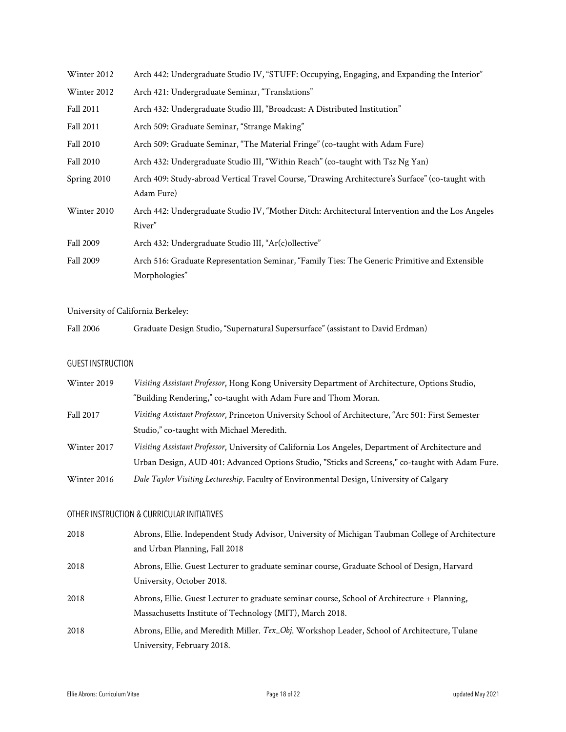| Winter 2012 | Arch 442: Undergraduate Studio IV, "STUFF: Occupying, Engaging, and Expanding the Interior"                    |
|-------------|----------------------------------------------------------------------------------------------------------------|
| Winter 2012 | Arch 421: Undergraduate Seminar, "Translations"                                                                |
| Fall 2011   | Arch 432: Undergraduate Studio III, "Broadcast: A Distributed Institution"                                     |
| Fall 2011   | Arch 509: Graduate Seminar, "Strange Making"                                                                   |
| Fall 2010   | Arch 509: Graduate Seminar, "The Material Fringe" (co-taught with Adam Fure)                                   |
| Fall 2010   | Arch 432: Undergraduate Studio III, "Within Reach" (co-taught with Tsz Ng Yan)                                 |
| Spring 2010 | Arch 409: Study-abroad Vertical Travel Course, "Drawing Architecture's Surface" (co-taught with<br>Adam Fure)  |
| Winter 2010 | Arch 442: Undergraduate Studio IV, "Mother Ditch: Architectural Intervention and the Los Angeles<br>River"     |
| Fall 2009   | Arch 432: Undergraduate Studio III, "Ar(c) ollective"                                                          |
| Fall 2009   | Arch 516: Graduate Representation Seminar, "Family Ties: The Generic Primitive and Extensible<br>Morphologies" |

### University of California Berkeley:

| <b>Fall 2006</b> |  | Graduate Design Studio, "Supernatural Supersurface" (assistant to David Erdman) |  |
|------------------|--|---------------------------------------------------------------------------------|--|
|------------------|--|---------------------------------------------------------------------------------|--|

### GUEST INSTRUCTION

| Winter 2019 | Visiting Assistant Professor, Hong Kong University Department of Architecture, Options Studio,      |
|-------------|-----------------------------------------------------------------------------------------------------|
|             | "Building Rendering," co-taught with Adam Fure and Thom Moran.                                      |
| Fall 2017   | Visiting Assistant Professor, Princeton University School of Architecture, "Arc 501: First Semester |
|             | Studio," co-taught with Michael Meredith.                                                           |
| Winter 2017 | Visiting Assistant Professor, University of California Los Angeles, Department of Architecture and  |
|             | Urban Design, AUD 401: Advanced Options Studio, "Sticks and Screens," co-taught with Adam Fure.     |
| Winter 2016 | Dale Taylor Visiting Lectureship. Faculty of Environmental Design, University of Calgary            |

### OTHER INSTRUCTION & CURRICULAR INITIATIVES

| 2018 | Abrons, Ellie. Independent Study Advisor, University of Michigan Taubman College of Architecture |
|------|--------------------------------------------------------------------------------------------------|
|      | and Urban Planning, Fall 2018                                                                    |
| 2018 | Abrons, Ellie. Guest Lecturer to graduate seminar course, Graduate School of Design, Harvard     |
|      | University, October 2018.                                                                        |
| 2018 | Abrons, Ellie. Guest Lecturer to graduate seminar course, School of Architecture + Planning,     |
|      | Massachusetts Institute of Technology (MIT), March 2018.                                         |
| 2018 | Abrons, Ellie, and Meredith Miller. Tex_Obj. Workshop Leader, School of Architecture, Tulane     |
|      | University, February 2018.                                                                       |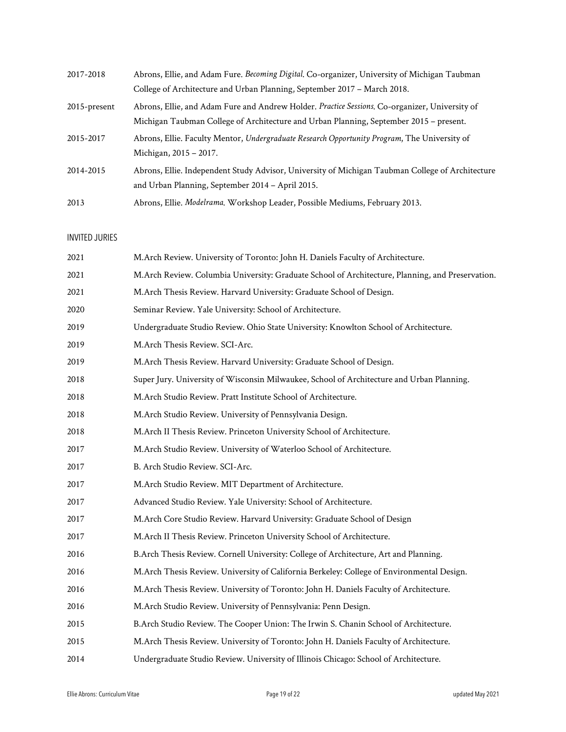| 2017-2018       | Abrons, Ellie, and Adam Fure. Becoming Digital. Co-organizer, University of Michigan Taubman     |
|-----------------|--------------------------------------------------------------------------------------------------|
|                 | College of Architecture and Urban Planning, September 2017 - March 2018.                         |
| $2015$ -present | Abrons, Ellie, and Adam Fure and Andrew Holder. Practice Sessions. Co-organizer, University of   |
|                 | Michigan Taubman College of Architecture and Urban Planning, September 2015 – present.           |
| 2015-2017       | Abrons, Ellie. Faculty Mentor, Undergraduate Research Opportunity Program, The University of     |
|                 | Michigan, 2015 - 2017.                                                                           |
| 2014-2015       | Abrons, Ellie. Independent Study Advisor, University of Michigan Taubman College of Architecture |
|                 | and Urban Planning, September 2014 – April 2015.                                                 |
| 2013            | Abrons, Ellie. Modelrama. Workshop Leader, Possible Mediums, February 2013.                      |

#### INVITED JURIES

| 2021 | M.Arch Review. University of Toronto: John H. Daniels Faculty of Architecture.                   |  |  |  |  |
|------|--------------------------------------------------------------------------------------------------|--|--|--|--|
| 2021 | M.Arch Review. Columbia University: Graduate School of Architecture, Planning, and Preservation. |  |  |  |  |
| 2021 | M.Arch Thesis Review. Harvard University: Graduate School of Design.                             |  |  |  |  |
| 2020 | Seminar Review. Yale University: School of Architecture.                                         |  |  |  |  |
| 2019 | Undergraduate Studio Review. Ohio State University: Knowlton School of Architecture.             |  |  |  |  |
| 2019 | M.Arch Thesis Review. SCI-Arc.                                                                   |  |  |  |  |
| 2019 | M.Arch Thesis Review. Harvard University: Graduate School of Design.                             |  |  |  |  |
| 2018 | Super Jury. University of Wisconsin Milwaukee, School of Architecture and Urban Planning.        |  |  |  |  |
| 2018 | M.Arch Studio Review. Pratt Institute School of Architecture.                                    |  |  |  |  |
| 2018 | M.Arch Studio Review. University of Pennsylvania Design.                                         |  |  |  |  |
| 2018 | M.Arch II Thesis Review. Princeton University School of Architecture.                            |  |  |  |  |
| 2017 | M.Arch Studio Review. University of Waterloo School of Architecture.                             |  |  |  |  |
| 2017 | B. Arch Studio Review. SCI-Arc.                                                                  |  |  |  |  |
| 2017 | M.Arch Studio Review. MIT Department of Architecture.                                            |  |  |  |  |
| 2017 | Advanced Studio Review. Yale University: School of Architecture.                                 |  |  |  |  |
| 2017 | M.Arch Core Studio Review. Harvard University: Graduate School of Design                         |  |  |  |  |
| 2017 | M.Arch II Thesis Review. Princeton University School of Architecture.                            |  |  |  |  |
| 2016 | B.Arch Thesis Review. Cornell University: College of Architecture, Art and Planning.             |  |  |  |  |
| 2016 | M.Arch Thesis Review. University of California Berkeley: College of Environmental Design.        |  |  |  |  |
| 2016 | M.Arch Thesis Review. University of Toronto: John H. Daniels Faculty of Architecture.            |  |  |  |  |
| 2016 | M.Arch Studio Review. University of Pennsylvania: Penn Design.                                   |  |  |  |  |
| 2015 | B.Arch Studio Review. The Cooper Union: The Irwin S. Chanin School of Architecture.              |  |  |  |  |
| 2015 | M.Arch Thesis Review. University of Toronto: John H. Daniels Faculty of Architecture.            |  |  |  |  |
| 2014 | Undergraduate Studio Review. University of Illinois Chicago: School of Architecture.             |  |  |  |  |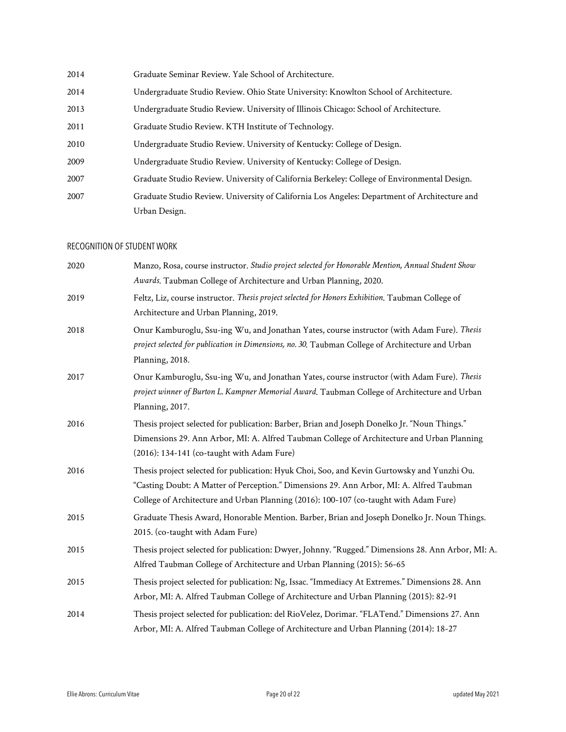| 2014 | Graduate Seminar Review. Yale School of Architecture.                                        |  |  |  |
|------|----------------------------------------------------------------------------------------------|--|--|--|
| 2014 | Undergraduate Studio Review. Ohio State University: Knowlton School of Architecture.         |  |  |  |
| 2013 | Undergraduate Studio Review. University of Illinois Chicago: School of Architecture.         |  |  |  |
| 2011 | Graduate Studio Review. KTH Institute of Technology.                                         |  |  |  |
| 2010 | Undergraduate Studio Review. University of Kentucky: College of Design.                      |  |  |  |
| 2009 | Undergraduate Studio Review. University of Kentucky: College of Design.                      |  |  |  |
| 2007 | Graduate Studio Review. University of California Berkeley: College of Environmental Design.  |  |  |  |
| 2007 | Graduate Studio Review. University of California Los Angeles: Department of Architecture and |  |  |  |
|      | Urban Design.                                                                                |  |  |  |

### RECOGNITION OF STUDENT WORK

| 2020 | Manzo, Rosa, course instructor. Studio project selected for Honorable Mention, Annual Student Show |
|------|----------------------------------------------------------------------------------------------------|
|      | Awards. Taubman College of Architecture and Urban Planning, 2020.                                  |
| 2019 | Feltz, Liz, course instructor. Thesis project selected for Honors Exhibition. Taubman College of   |
|      | Architecture and Urban Planning, 2019.                                                             |
| 2018 | Onur Kamburoglu, Ssu-ing Wu, and Jonathan Yates, course instructor (with Adam Fure). Thesis        |
|      | project selected for publication in Dimensions, no. 30. Taubman College of Architecture and Urban  |
|      | Planning, 2018.                                                                                    |
| 2017 | Onur Kamburoglu, Ssu-ing Wu, and Jonathan Yates, course instructor (with Adam Fure). Thesis        |
|      | project winner of Burton L. Kampner Memorial Award. Taubman College of Architecture and Urban      |
|      | Planning, 2017.                                                                                    |
| 2016 | Thesis project selected for publication: Barber, Brian and Joseph Donelko Jr. "Noun Things."       |
|      | Dimensions 29. Ann Arbor, MI: A. Alfred Taubman College of Architecture and Urban Planning         |
|      | (2016): 134-141 (co-taught with Adam Fure)                                                         |
| 2016 | Thesis project selected for publication: Hyuk Choi, Soo, and Kevin Gurtowsky and Yunzhi Ou.        |
|      | "Casting Doubt: A Matter of Perception." Dimensions 29. Ann Arbor, MI: A. Alfred Taubman           |
|      | College of Architecture and Urban Planning (2016): 100-107 (co-taught with Adam Fure)              |
| 2015 | Graduate Thesis Award, Honorable Mention. Barber, Brian and Joseph Donelko Jr. Noun Things.        |
|      | 2015. (co-taught with Adam Fure)                                                                   |
| 2015 | Thesis project selected for publication: Dwyer, Johnny. "Rugged." Dimensions 28. Ann Arbor, MI: A. |
|      | Alfred Taubman College of Architecture and Urban Planning (2015): 56-65                            |
| 2015 | Thesis project selected for publication: Ng, Issac. "Immediacy At Extremes." Dimensions 28. Ann    |
|      | Arbor, MI: A. Alfred Taubman College of Architecture and Urban Planning (2015): 82-91              |
| 2014 | Thesis project selected for publication: del RioVelez, Dorimar. "FLATend." Dimensions 27. Ann      |
|      | Arbor, MI: A. Alfred Taubman College of Architecture and Urban Planning (2014): 18-27              |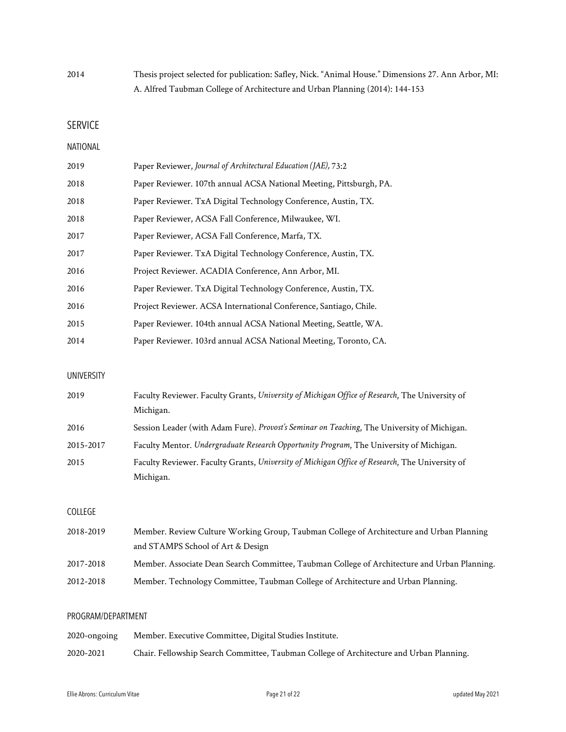2014 Thesis project selected for publication: Safley, Nick. "Animal House." Dimensions 27. Ann Arbor, MI: A. Alfred Taubman College of Architecture and Urban Planning (2014): 144-153

SERVICE

#### NATIONAL

| 2019 | Paper Reviewer, Journal of Architectural Education (JAE), 73:2      |
|------|---------------------------------------------------------------------|
| 2018 | Paper Reviewer, 107th annual ACSA National Meeting, Pittsburgh, PA. |
| 2018 | Paper Reviewer. TxA Digital Technology Conference, Austin, TX.      |
| 2018 | Paper Reviewer, ACSA Fall Conference, Milwaukee, WI.                |
| 2017 | Paper Reviewer, ACSA Fall Conference, Marfa, TX.                    |
| 2017 | Paper Reviewer. TxA Digital Technology Conference, Austin, TX.      |
| 2016 | Project Reviewer. ACADIA Conference, Ann Arbor, MI.                 |
| 2016 | Paper Reviewer. TxA Digital Technology Conference, Austin, TX.      |
| 2016 | Project Reviewer. ACSA International Conference, Santiago, Chile.   |
| 2015 | Paper Reviewer. 104th annual ACSA National Meeting, Seattle, WA.    |
| 2014 | Paper Reviewer. 103rd annual ACSA National Meeting, Toronto, CA.    |

#### UNIVERSITY

| 2019      | Faculty Reviewer. Faculty Grants, University of Michigan Office of Research, The University of |  |  |  |
|-----------|------------------------------------------------------------------------------------------------|--|--|--|
|           | Michigan.                                                                                      |  |  |  |
| 2016      | Session Leader (with Adam Fure). Provost's Seminar on Teaching, The University of Michigan.    |  |  |  |
| 2015-2017 | Faculty Mentor. Undergraduate Research Opportunity Program, The University of Michigan.        |  |  |  |
| 2015      | Faculty Reviewer. Faculty Grants, University of Michigan Office of Research, The University of |  |  |  |
|           | Michigan.                                                                                      |  |  |  |

### COLLEGE

| 2018-2019 | Member. Review Culture Working Group, Taubman College of Architecture and Urban Planning     |  |  |
|-----------|----------------------------------------------------------------------------------------------|--|--|
|           | and STAMPS School of Art & Design                                                            |  |  |
| 2017-2018 | Member. Associate Dean Search Committee, Taubman College of Architecture and Urban Planning. |  |  |
| 2012-2018 | Member. Technology Committee, Taubman College of Architecture and Urban Planning.            |  |  |

#### PROGRAM/DEPARTMENT

| 2020-ongoing | Member, Executive Committee, Digital Studies Institute.                                 |  |  |  |
|--------------|-----------------------------------------------------------------------------------------|--|--|--|
| 2020-2021    | Chair. Fellowship Search Committee, Taubman College of Architecture and Urban Planning. |  |  |  |